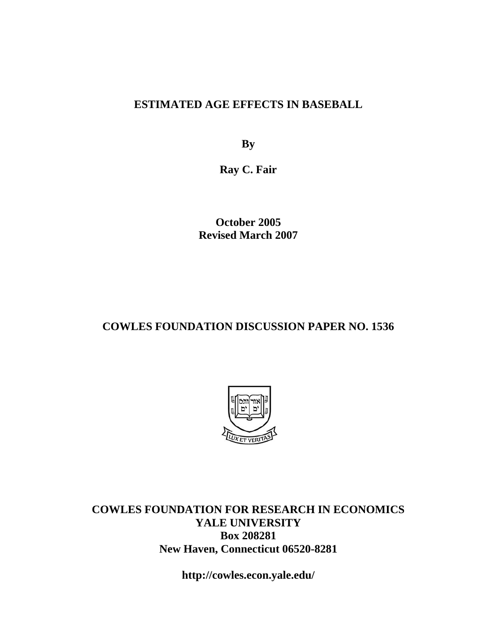#### **ESTIMATED AGE EFFECTS IN BASEBALL**

**By** 

**Ray C. Fair** 

**October 2005 Revised March 2007** 

#### **COWLES FOUNDATION DISCUSSION PAPER NO. 1536**



**COWLES FOUNDATION FOR RESEARCH IN ECONOMICS YALE UNIVERSITY Box 208281 New Haven, Connecticut 06520-8281** 

**http://cowles.econ.yale.edu/**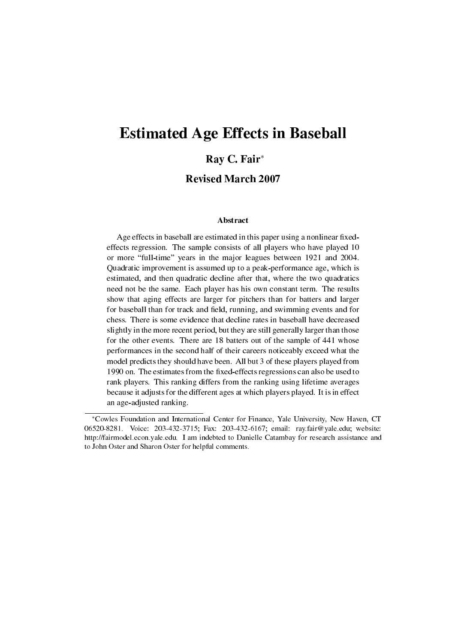# Estimated Age Effects in Baseball

#### Ray C. Fair*<sup>∗</sup>*

Revised March 2007

#### Abstract

Age effects in baseball are estimated in this paper using a nonlinear fixedeffects regression. The sample consists of all players who have played 10 or more "full-time" years in the major leagues between 1921 and 2004. Quadratic improvement is assumed up to a peak-performance age, which is estimated, and then quadratic decline after that, where the two quadratics need not be the same. Each player has his own constant term. The results show that aging effects are larger for pitchers than for batters and larger for baseball than for track and field, running, and swimming events and for chess. There is some evidence that decline rates in baseball have decreased slightly in the more recent period, but they are still generally larger than those for the other events. There are 18 batters out of the sample of 441 whose performances in the second half of their careers noticeably exceed what the model predicts they should have been. All but 3 of these players played from 1990 on. The estimates from the fixed-effects regressions can also be used to rank players. This ranking differs from the ranking using lifetime averages because it adjusts for the different ages at which players played. It is in effect an age-adjusted ranking.

*<sup>∗</sup>*Cowles Foundation and International Center for Finance, Yale University, New Haven, CT 06520-8281. Voice: 203-432-3715; Fax: 203-432-6167; email: ray.fair@yale.edu; website: http://fairmodel.econ.yale.edu. I am indebted to Danielle Catambay for research assistance and to John Oster and Sharon Oster for helpful comments.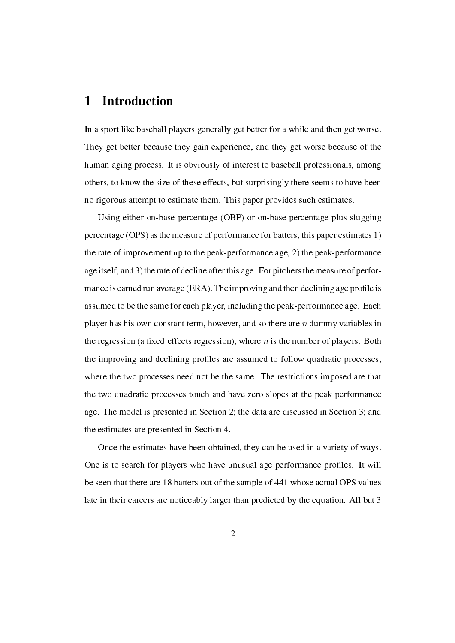#### 1 Introduction

In a sport like baseball players generally get better for a while and then get worse. They get better because they gain experience, and they get worse because of the human aging process. It is obviously of interest to baseball professionals, among others, to know the size of these effects, but surprisingly there seems to have been no rigorous attempt to estimate them. This paper provides such estimates.

Using either on-base percentage (OBP) or on-base percentage plus slugging percentage (OPS) as the measure of performance for batters, this paper estimates 1) the rate of improvement up to the peak-performance age, 2) the peak-performance age itself, and 3) the rate of decline after this age. For pitchers the measure of performance is earned run average (ERA). The improving and then declining age profile is assumed to be the same for each player, including the peak-performance age. Each player has his own constant term, however, and so there are *n* dummy variables in the regression (a fixed-effects regression), where  $n$  is the number of players. Both the improving and declining profiles are assumed to follow quadratic processes, where the two processes need not be the same. The restrictions imposed are that the two quadratic processes touch and have zero slopes at the peak-performance age. The model is presented in Section 2; the data are discussed in Section 3; and the estimates are presented in Section 4.

Once the estimates have been obtained, they can be used in a variety of ways. One is to search for players who have unusual age-performance profiles. It will be seen that there are 18 batters out of the sample of 441 whose actual OPS values late in their careers are noticeably larger than predicted by the equation. All but 3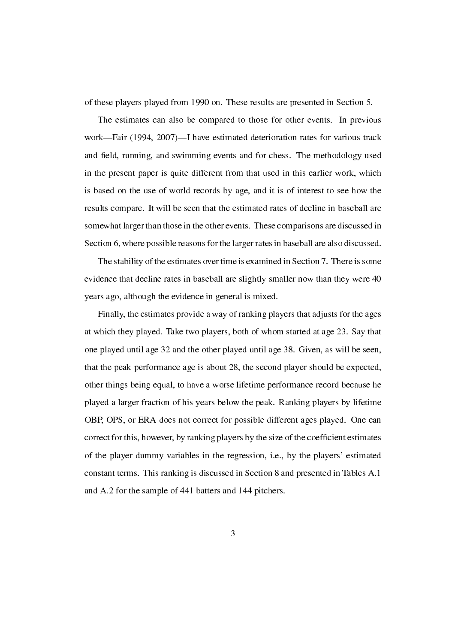of these players played from 1990 on. These results are presented in Section 5.

The estimates can also be compared to those for other events. In previous work—Fair (1994, 2007)—I have estimated deterioration rates for various track and field, running, and swimming events and for chess. The methodology used in the present paper is quite different from that used in this earlier work, which is based on the use of world records by age, and it is of interest to see how the results compare. It will be seen that the estimated rates of decline in baseball are somewhat larger than those in the other events. These comparisons are discussed in Section 6, where possible reasons for the larger rates in baseball are also discussed.

The stability of the estimates over time is examined in Section 7. There is some evidence that decline rates in baseball are slightly smaller now than they were 40 years ago, although the evidence in general is mixed.

Finally, the estimates provide a way of ranking players that adjusts for the ages at which they played. Take two players, both of whom started at age 23. Say that one played until age 32 and the other played until age 38. Given, as will be seen, that the peak-performance age is about 28, the second player should be expected, other things being equal, to have a worse lifetime performance record because he played a larger fraction of his years below the peak. Ranking players by lifetime OBP, OPS, or ERA does not correct for possible different ages played. One can correct for this, however, by ranking players by the size of the coefficient estimates of the player dummy variables in the regression, i.e., by the players' estimated constant terms. This ranking is discussed in Section 8 and presented in Tables A.1 and A.2 for the sample of 441 batters and 144 pitchers.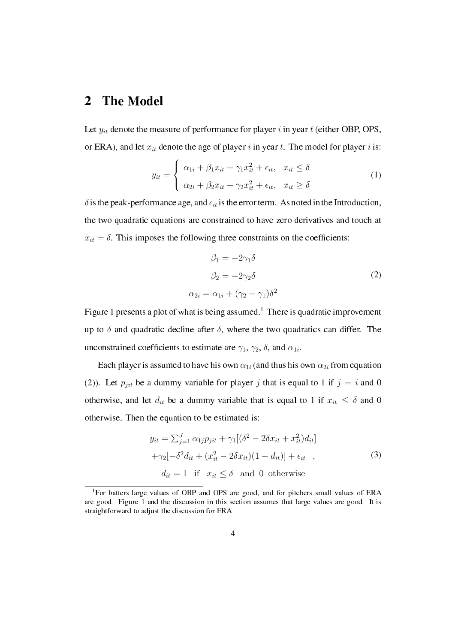# 2 The Model

Let *yit* denote the measure of performance for player *i* in year *t* (either OBP, OPS, or ERA), and let  $x_{it}$  denote the age of player *i* in year *t*. The model for player *i* is:

$$
y_{it} = \begin{cases} \alpha_{1i} + \beta_1 x_{it} + \gamma_1 x_{it}^2 + \epsilon_{it}, & x_{it} \le \delta \\ \alpha_{2i} + \beta_2 x_{it} + \gamma_2 x_{it}^2 + \epsilon_{it}, & x_{it} \ge \delta \end{cases}
$$
(1)

 $\delta$  is the peak-performance age, and  $\epsilon_{it}$  is the error term. As noted in the Introduction, the two quadratic equations are constrained to have zero derivatives and touch at  $x_{it} = \delta$ . This imposes the following three constraints on the coefficients:

$$
\beta_1 = -2\gamma_1 \delta
$$
  
\n
$$
\beta_2 = -2\gamma_2 \delta
$$
  
\n
$$
\alpha_{2i} = \alpha_{1i} + (\gamma_2 - \gamma_1)\delta^2
$$
\n(2)

Figure 1 presents a plot of what is being assumed.<sup>1</sup> There is quadratic improvement up to  $\delta$  and quadratic decline after  $\delta$ , where the two quadratics can differ. The unconstrained coefficients to estimate are  $\gamma_1, \gamma_2, \delta$ , and  $\alpha_{1i}$ .

Each player is assumed to have his own  $\alpha_{1i}$  (and thus his own  $\alpha_{2i}$  from equation (2)). Let  $p_{jit}$  be a dummy variable for player *j* that is equal to 1 if  $j = i$  and 0 otherwise, and let  $d_{it}$  be a dummy variable that is equal to 1 if  $x_{it} \leq \delta$  and 0 otherwise. Then the equation to be estimated is:

$$
y_{it} = \sum_{j=1}^{J} \alpha_{1j} p_{jit} + \gamma_1 [(\delta^2 - 2\delta x_{it} + x_{it}^2) d_{it}]
$$
  
+
$$
\gamma_2 [-\delta^2 d_{it} + (x_{it}^2 - 2\delta x_{it})(1 - d_{it})] + \epsilon_{it} ,
$$
  

$$
d_{it} = 1 \text{ if } x_{it} \le \delta \text{ and 0 otherwise}
$$
 (3)

<sup>&</sup>lt;sup>1</sup>For batters large values of OBP and OPS are good, and for pitchers small values of ERA are good. Figure 1 and the discussion in this section assumes that large values are good. It is straightforward to adjust the discussion for ERA.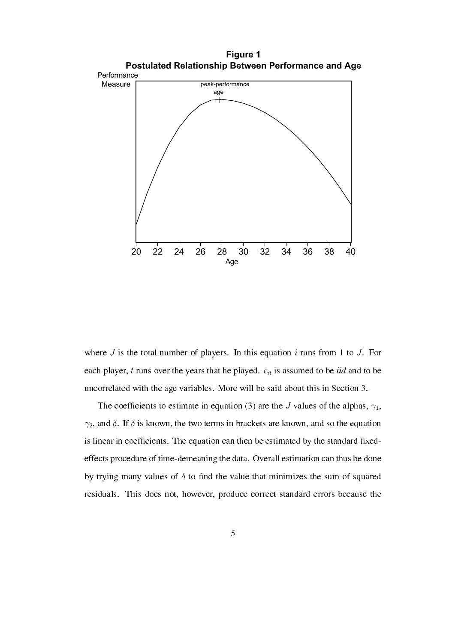

where *J* is the total number of players. In this equation *i* runs from 1 to *J*. For each player,  $t$  runs over the years that he played.  $\epsilon_{it}$  is assumed to be *iid* and to be uncorrelated with the age variables. More will be said about this in Section 3.

The coefficients to estimate in equation (3) are the *J* values of the alphas,  $\gamma_1$ , *γ*2, and *δ*. If *δ* is known, the two terms in brackets are known, and so the equation is linear in coefficients. The equation can then be estimated by the standard fixedeffects procedure of time-demeaning the data. Overall estimation can thus be done by trying many values of  $\delta$  to find the value that minimizes the sum of squared residuals. This does not, however, produce correct standard errors because the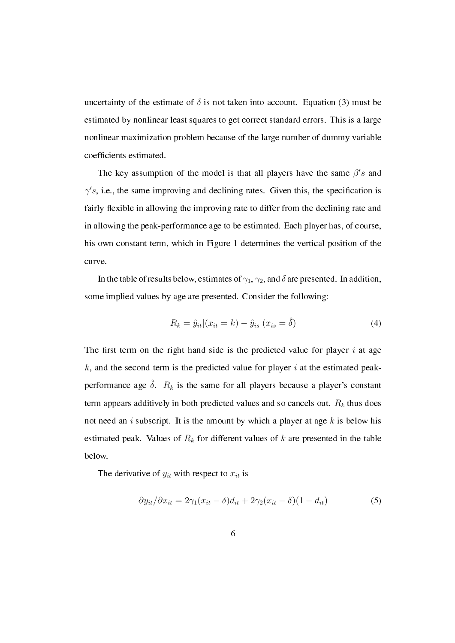uncertainty of the estimate of  $\delta$  is not taken into account. Equation (3) must be estimated by nonlinear least squares to get correct standard errors. This is a large nonlinear maximization problem because of the large number of dummy variable coefficients estimated.

The key assumption of the model is that all players have the same  $\beta$ 's and  $\gamma$ 's, i.e., the same improving and declining rates. Given this, the specification is fairly flexible in allowing the improving rate to differ from the declining rate and in allowing the peak-performance age to be estimated. Each player has, of course, his own constant term, which in Figure 1 determines the vertical position of the curve.

In the table of results below, estimates of  $\gamma_1$ ,  $\gamma_2$ , and  $\delta$  are presented. In addition, some implied values by age are presented. Consider the following:

$$
R_k = \hat{y}_{it} | (x_{it} = k) - \hat{y}_{is} | (x_{is} = \hat{\delta})
$$
\n(4)

The first term on the right hand side is the predicted value for player  $i$  at age *k*, and the second term is the predicted value for player *i* at the estimated peakperformance age  $\hat{\delta}$ .  $R_k$  is the same for all players because a player's constant term appears additively in both predicted values and so cancels out. *R<sup>k</sup>* thus does not need an *i* subscript. It is the amount by which a player at age *k* is below his estimated peak. Values of *R<sup>k</sup>* for different values of *k* are presented in the table below.

The derivative of  $y_{it}$  with respect to  $x_{it}$  is

$$
\partial y_{it} / \partial x_{it} = 2\gamma_1 (x_{it} - \delta) d_{it} + 2\gamma_2 (x_{it} - \delta) (1 - d_{it}) \tag{5}
$$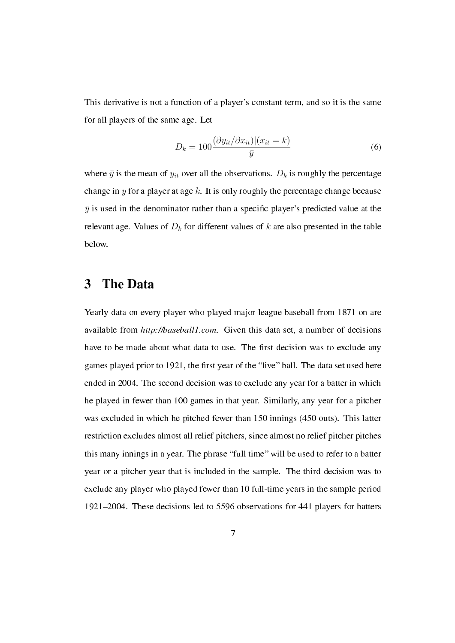This derivative is not a function of a player's constant term, and so it is the same for all players of the same age. Let

$$
D_k = 100 \frac{(\partial y_{it}/\partial x_{it})|(x_{it} = k)}{\bar{y}}
$$
\n<sup>(6)</sup>

where  $\bar{y}$  is the mean of  $y_{it}$  over all the observations.  $D_k$  is roughly the percentage change in *y* for a player at age *k*. It is only roughly the percentage change because  $\bar{y}$  is used in the denominator rather than a specific player's predicted value at the relevant age. Values of  $D_k$  for different values of  $k$  are also presented in the table below.

#### 3 The Data

Yearly data on every player who played major league baseball from 1871 on are available from http://baseball1.com. Given this data set, a number of decisions have to be made about what data to use. The first decision was to exclude any games played prior to 1921, the first year of the "live" ball. The data set used here ended in 2004. The second decision was to exclude any year for a batter in which he played in fewer than 100 games in that year. Similarly, any year for a pitcher was excluded in which he pitched fewer than 150 innings (450 outs). This latter restriction excludes almost all relief pitchers, since almost no relief pitcher pitches this many innings in a year. The phrase "full time" will be used to refer to a batter year or a pitcher year that is included in the sample. The third decision was to exclude any player who played fewer than 10 full-time years in the sample period 1921–2004. These decisions led to 5596 observations for 441 players for batters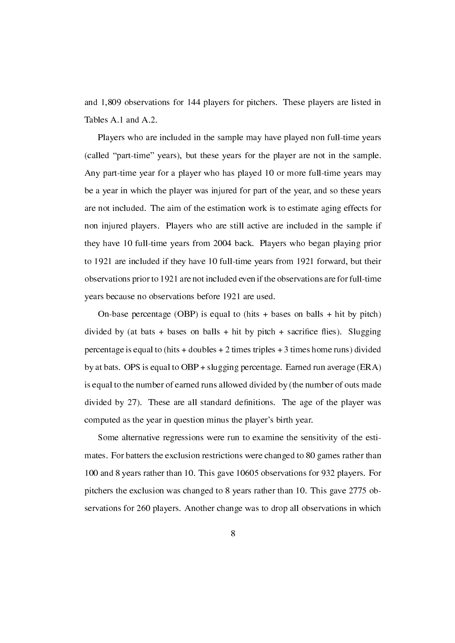and 1,809 observations for 144 players for pitchers. These players are listed in Tables A.1 and A.2.

Players who are included in the sample may have played non full-time years (called "part-time" years), but these years for the player are not in the sample. Any part-time year for a player who has played 10 or more full-time years may be a year in which the player was injured for part of the year, and so these years are not included. The aim of the estimation work is to estimate aging effects for non injured players. Players who are still active are included in the sample if they have 10 full-time years from 2004 back. Players who began playing prior to 1921 are included if they have 10 full-time years from 1921 forward, but their observations prior to 1921 are not included even if the observations are for full-time years because no observations before 1921 are used.

On-base percentage (OBP) is equal to (hits  $+$  bases on balls  $+$  hit by pitch) divided by (at bats + bases on balls + hit by pitch + sacrifice flies). Slugging percentage is equal to (hits  $+$  doubles  $+$  2 times triples  $+$  3 times home runs) divided by at bats. OPS is equal to OBP + slugging percentage. Earned run average (ERA) is equal to the number of earned runs allowed divided by (the number of outs made divided by 27). These are all standard definitions. The age of the player was computed as the year in question minus the player's birth year.

Some alternative regressions were run to examine the sensitivity of the estimates. For batters the exclusion restrictions were changed to 80 games rather than 100 and 8 years rather than 10. This gave 10605 observations for 932 players. For pitchers the exclusion was changed to 8 years rather than 10. This gave 2775 observations for 260 players. Another change was to drop all observations in which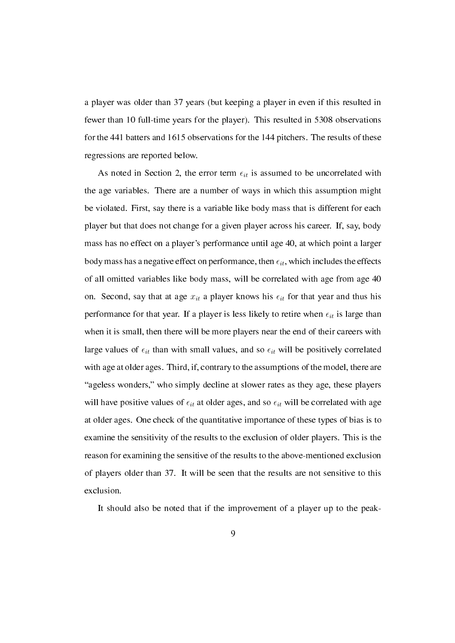a player was older than 37 years (but keeping a player in even if this resulted in fewer than 10 full-time years for the player). This resulted in 5308 observations for the 441 batters and 1615 observations for the 144 pitchers. The results of these regressions are reported below.

As noted in Section 2, the error term  $\epsilon_{it}$  is assumed to be uncorrelated with the age variables. There are a number of ways in which this assumption might be violated. First, say there is a variable like body mass that is different for each player but that does not change for a given player across his career. If, say, body mass has no effect on a player's performance until age 40, at which point a larger body mass has a negative effect on performance, then  $\epsilon_{it}$ , which includes the effects of all omitted variables like body mass, will be correlated with age from age 40 on. Second, say that at age  $x_{it}$  a player knows his  $\epsilon_{it}$  for that year and thus his performance for that year. If a player is less likely to retire when  $\epsilon_{it}$  is large than when it is small, then there will be more players near the end of their careers with large values of  $\epsilon_{it}$  than with small values, and so  $\epsilon_{it}$  will be positively correlated with age at older ages. Third, if, contrary to the assumptions of the model, there are "ageless wonders," who simply decline at slower rates as they age, these players will have positive values of  $\epsilon_{it}$  at older ages, and so  $\epsilon_{it}$  will be correlated with age at older ages. One check of the quantitative importance of these types of bias is to examine the sensitivity of the results to the exclusion of older players. This is the reason for examining the sensitive of the results to the above-mentioned exclusion of players older than 37. It will be seen that the results are not sensitive to this exclusion.

It should also be noted that if the improvement of a player up to the peak-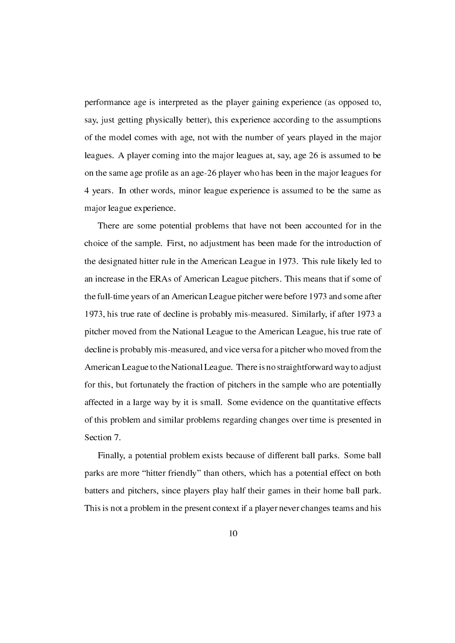performance age is interpreted as the player gaining experience (as opposed to, say, just getting physically better), this experience according to the assumptions of the model comes with age, not with the number of years played in the major leagues. A player coming into the major leagues at, say, age 26 is assumed to be on the same age profile as an age-26 player who has been in the major leagues for 4 years. In other words, minor league experience is assumed to be the same as major league experience.

There are some potential problems that have not been accounted for in the choice of the sample. First, no adjustment has been made for the introduction of the designated hitter rule in the American League in 1973. This rule likely led to an increase in the ERAs of American League pitchers. This means that if some of the full-time years of an American League pitcher were before 1973 and some after 1973, his true rate of decline is probably mis-measured. Similarly, if after 1973 a pitcher moved from the National League to the American League, his true rate of decline is probably mis-measured, and vice versa for a pitcher who moved from the American League to the National League. There is no straightforward way to adjust for this, but fortunately the fraction of pitchers in the sample who are potentially affected in a large way by it is small. Some evidence on the quantitative effects of this problem and similar problems regarding changes over time is presented in Section 7.

Finally, a potential problem exists because of different ball parks. Some ball parks are more "hitter friendly" than others, which has a potential effect on both batters and pitchers, since players play half their games in their home ball park. This is not a problem in the present context if a player never changes teams and his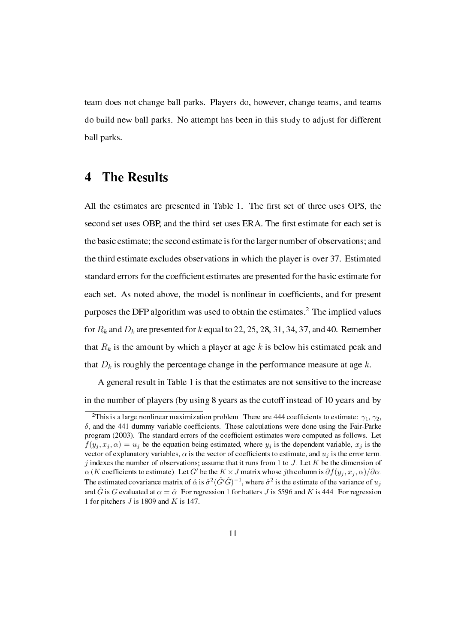team does not change ball parks. Players do, however, change teams, and teams do build new ball parks. No attempt has been in this study to adjust for different ball parks.

### 4 The Results

All the estimates are presented in Table 1. The first set of three uses OPS, the second set uses OBP, and the third set uses ERA. The first estimate for each set is the basic estimate; the second estimate is for the larger number of observations; and the third estimate excludes observations in which the player is over 37. Estimated standard errors for the coefficient estimates are presented for the basic estimate for each set. As noted above, the model is nonlinear in coefficients, and for present purposes the DFP algorithm was used to obtain the estimates.<sup>2</sup> The implied values for  $R_k$  and  $D_k$  are presented for  $k$  equal to 22, 25, 28, 31, 34, 37, and 40. Remember that *R<sup>k</sup>* is the amount by which a player at age *k* is below his estimated peak and that  $D_k$  is roughly the percentage change in the performance measure at age  $k$ .

A general result in Table 1 is that the estimates are not sensitive to the increase in the number of players (by using 8 years as the cutoff instead of 10 years and by

<sup>&</sup>lt;sup>2</sup>This is a large nonlinear maximization problem. There are 444 coefficients to estimate:  $\gamma_1$ ,  $\gamma_2$ ,  $\delta$ , and the 441 dummy variable coefficients. These calculations were done using the Fair-Parke program (2003). The standard errors of the coefficient estimates were computed as follows. Let  $f(y_j, x_j, \alpha) = u_j$  be the equation being estimated, where  $y_j$  is the dependent variable,  $x_j$  is the vector of explanatory variables,  $\alpha$  is the vector of coefficients to estimate, and  $u_j$  is the error term. *j* indexes the number of observations; assume that it runs from 1 to *J*. Let *K* be the dimension of  $\alpha$  (*K* coefficients to estimate). Let *G*<sup>*'*</sup> be the *K* × *J* matrix whose *j*th column is  $\partial f(y_j, x_j, \alpha)/\partial \alpha$ . The estimated covariance matrix of  $\hat{\alpha}$  is  $\hat{\sigma}^2(\hat{G}'\hat{G})^{-1}$ , where  $\hat{\sigma}^2$  is the estimate of the variance of  $u_j$ and  $\hat{G}$  is *G* evaluated at  $\alpha = \hat{\alpha}$ . For regression 1 for batters *J* is 5596 and *K* is 444. For regression 1 for pitchers *J* is 1809 and *K* is 147.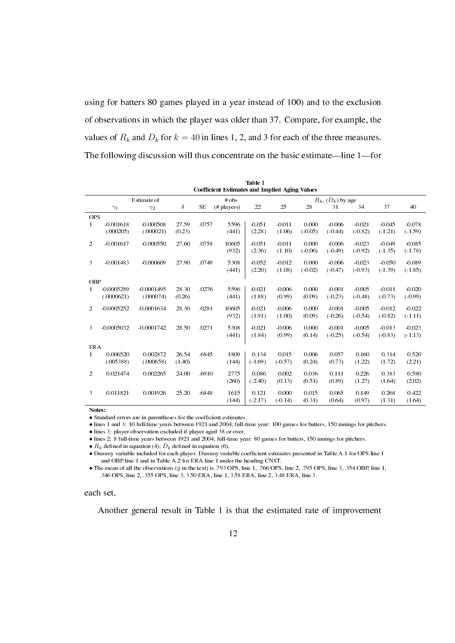using for batters 80 games played in a year instead of 100) and to the exclusion of observations in which the player was older than 37. Compare, for example, the values of  $R_k$  and  $D_k$  for  $k = 40$  in lines 1, 2, and 3 for each of the three measures. The following discussion will thus concentrate on the basic estimate—line  $1$ —for

|              | <b>Coefficient Estimates and Implied Aging Values</b> |              |        |           |                |           |           |           |                        |           |           |           |
|--------------|-------------------------------------------------------|--------------|--------|-----------|----------------|-----------|-----------|-----------|------------------------|-----------|-----------|-----------|
|              |                                                       | Estimate of  |        |           | $#$ obs        |           |           |           | $R_k$ , $(D_k)$ by age |           |           |           |
|              | $\gamma_1$                                            | $\gamma_2$   | δ      | <b>SE</b> | $(\#$ players) | 22        | 25        | 28        | 31                     | 34        | 37        | 40        |
| <b>OPS</b>   |                                                       |              |        |           |                |           |           |           |                        |           |           |           |
| 1            | $-0.001618$                                           | $-0.000508$  | 27.59  | .0757     | 5596           | $-0.051$  | $-0.011$  | 0.000     | $-0.006$               | $-0.021$  | $-0.045$  | $-0.078$  |
|              | (.000205)                                             | (.000021)    | (0.23) |           | (441)          | (2.28)    | (1.06)    | $(-0.05)$ | $(-0.44)$              | $(-0.82)$ | $(-1.21)$ | $(-1.59)$ |
| 2            | $-0.001617$                                           | $-0.000550$  | 27.60  | .0758     | 10605          | $-0.051$  | $-0.011$  | 0.000     | $-0.006$               | $-0.023$  | $-0.049$  | $-0.085$  |
|              |                                                       |              |        |           | (932)          | (2.36)    | (1.10)    | $(-0.06)$ | $(-0.49)$              | $(-0.92)$ | $(-1.35)$ | $(-1.78)$ |
| 3            | $-0.001483$                                           | $-0.000609$  | 27.90  | .0749     | 5308           | $-0.052$  | $-0.012$  | 0.000     | $-0.006$               | $-0.023$  | $-0.050$  | $-0.089$  |
|              |                                                       |              |        |           | (441)          | (2.20)    | (1.08)    | $(-0.02)$ | $(-0.47)$              | $(-0.93)$ | $(-1.39)$ | $(-1.85)$ |
| <b>OBP</b>   |                                                       |              |        |           |                |           |           |           |                        |           |           |           |
| $\mathbf{1}$ | $-0.0005289$                                          | $-0.0001495$ | 28.30  | .0276     | 5596           | $-0.021$  | $-0.006$  | 0.000     | $-0.001$               | $-0.005$  | $-0.011$  | $-0.020$  |
|              | (.0000621)                                            | (.000074)    | (0.26) |           | (441)          | (1.88)    | (0.99)    | (0.09)    | $(-0.23)$              | $(-0.48)$ | $(-0.73)$ | $(-0.99)$ |
| 2            | $-0.0005252$                                          | $-0.0001634$ | 28.30  | .0281     | 10605          | $-0.021$  | $-0.006$  | 0.000     | $-0.001$               | $-0.005$  | $-0.012$  | $-0.022$  |
|              |                                                       |              |        |           | (932)          | (1.91)    | (1.00)    | (0.09)    | $(-0.26)$              | $(-0.54)$ | $(-0.82)$ | $(-1.11)$ |
| 3            | $-0.0005032$                                          | $-0.0001742$ | 28.50  | .0271     | 5308           | $-0.021$  | $-0.006$  | 0.000     | $-0.001$               | $-0.005$  | $-0.013$  | $-0.023$  |
|              |                                                       |              |        |           | (441)          | (1.84)    | (0.99)    | (0.14)    | $(-0.25)$              | $(-0.54)$ | $(-0.83)$ | $(-1.13)$ |
| <b>ERA</b>   |                                                       |              |        |           |                |           |           |           |                        |           |           |           |
| $\mathbf{1}$ | 0.006520                                              | 0.002872     | 26.54  | .6845     | 1809           | 0.134     | 0.015     | 0.006     | 0.057                  | 0.160     | 0.314     | 0.520     |
|              | (.005388)                                             | (.000658)    | (1.40) |           | (144)          | $(-1.69)$ | $(-0.57)$ | (0.24)    | (0.73)                 | (1.22)    | (1.72)    | (2.21)    |
| 2            | 0.021474                                              | 0.002265     | 24.00  | .6910     | 2775           | 0.086     | 0.002     | 0.036     | 0.111                  | 0.226     | 0.383     | 0.580     |
|              |                                                       |              |        |           | (260)          | $(-2.40)$ | (0.13)    | (0.51)    | (0.89)                 | (1.27)    | (1.64)    | (2.02)    |
| 3            | 0.011821                                              | 0.001926     | 25.20  | .6848     | 1615           | 0.121     | 0.000     | 0.015     | 0.065                  | 0.149     | 0.268     | 0.422     |
|              |                                                       |              |        |           | (144)          | $(-2.17)$ | $(-0.14)$ | (0.31)    | (0.64)                 | (0.97)    | (1.31)    | (1.64)    |

Table 1

Notes:

• Standard errors are in parentheses for the coefficient estimates.

*•* lines 1 and 3: 10 full-time years between 1921 and 2004; full-time year: 100 games for batters, 150 innings for pitchers.

*•* lines 3: player observation excluded if player aged 38 or over.

• lines 2: 8 full-time years between 1921 and 2004; full-time year: 80 games for batters, 150 innings for pitchers.

•  $R_k$  defined in equation (4);  $D_k$  defined in equation (6).

*•* Dummy variable included for each player. Dummy variable coefcient estimates presented in Table A.1 for OPS line 1 and OBP line 1 and in Table A.2 for ERA line 1 under the heading CNST.

• The mean of all the observations ( $\bar{y}$  in the text) is .793 OPS, line 1, .766 OPS, line 2, .795 OPS, line 3, .354 OBP, line 1, .346 OPS, line 2, .355 OPS, line 3, 3.50 ERA, line 1, 3.58 ERA, line 2, 3.48 ERA, line 3.

each set.

Another general result in Table 1 is that the estimated rate of improvement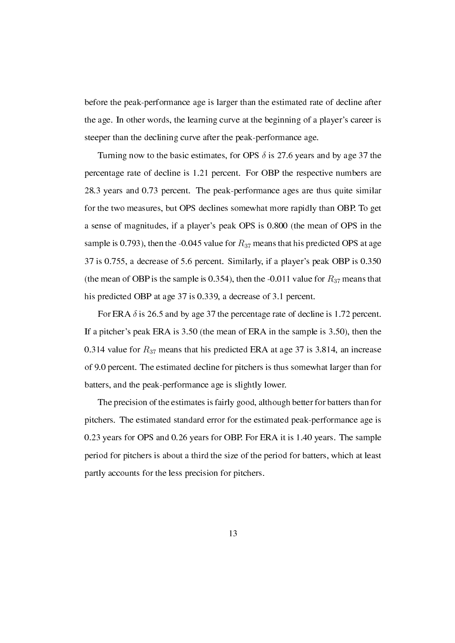before the peak-performance age is larger than the estimated rate of decline after the age. In other words, the learning curve at the beginning of a player's career is steeper than the declining curve after the peak-performance age.

Turning now to the basic estimates, for OPS  $\delta$  is 27.6 years and by age 37 the percentage rate of decline is 1.21 percent. For OBP the respective numbers are 28.3 years and 0.73 percent. The peak-performance ages are thus quite similar for the two measures, but OPS declines somewhat more rapidly than OBP. To get a sense of magnitudes, if a player's peak OPS is 0.800 (the mean of OPS in the sample is 0.793), then the -0.045 value for  $R_{37}$  means that his predicted OPS at age 37 is 0.755, a decrease of 5.6 percent. Similarly, if a player's peak OBP is 0.350 (the mean of OBP is the sample is 0.354), then the -0.011 value for  $R_{37}$  means that his predicted OBP at age 37 is 0.339, a decrease of 3.1 percent.

For ERA  $\delta$  is 26.5 and by age 37 the percentage rate of decline is 1.72 percent. If a pitcher's peak ERA is 3.50 (the mean of ERA in the sample is 3.50), then the 0.314 value for *R*<sup>37</sup> means that his predicted ERA at age 37 is 3.814, an increase of 9.0 percent. The estimated decline for pitchers is thus somewhat larger than for batters, and the peak-performance age is slightly lower.

The precision of the estimates is fairly good, although better for batters than for pitchers. The estimated standard error for the estimated peak-performance age is 0.23 years for OPS and 0.26 years for OBP. For ERA it is 1.40 years. The sample period for pitchers is about a third the size of the period for batters, which at least partly accounts for the less precision for pitchers.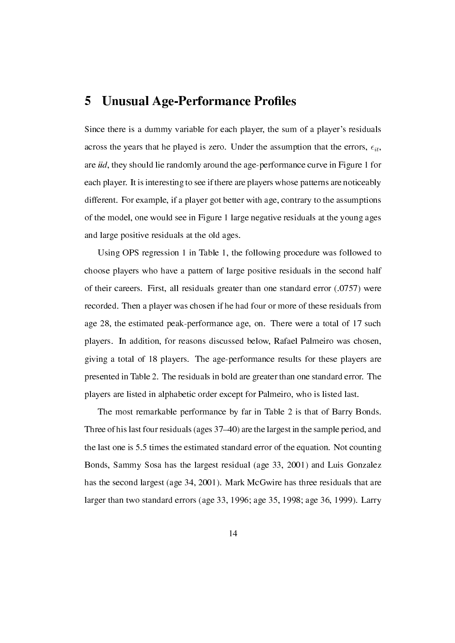#### 5 Unusual Age-Performance Profiles

Since there is a dummy variable for each player, the sum of a player's residuals across the years that he played is zero. Under the assumption that the errors,  $\epsilon_{it}$ , are iid, they should lie randomly around the age-performance curve in Figure 1 for each player. It is interesting to see if there are players whose patterns are noticeably different. For example, if a player got better with age, contrary to the assumptions of the model, one would see in Figure 1 large negative residuals at the young ages and large positive residuals at the old ages.

Using OPS regression 1 in Table 1, the following procedure was followed to choose players who have a pattern of large positive residuals in the second half of their careers. First, all residuals greater than one standard error (.0757) were recorded. Then a player was chosen if he had four or more of these residuals from age 28, the estimated peak-performance age, on. There were a total of 17 such players. In addition, for reasons discussed below, Rafael Palmeiro was chosen, giving a total of 18 players. The age-performance results for these players are presented in Table 2. The residuals in bold are greater than one standard error. The players are listed in alphabetic order except for Palmeiro, who is listed last.

The most remarkable performance by far in Table 2 is that of Barry Bonds. Three of his last four residuals (ages 37-40) are the largest in the sample period, and the last one is 5.5 times the estimated standard error of the equation. Not counting Bonds, Sammy Sosa has the largest residual (age 33, 2001) and Luis Gonzalez has the second largest (age 34, 2001). Mark McGwire has three residuals that are larger than two standard errors (age 33, 1996; age 35, 1998; age 36, 1999). Larry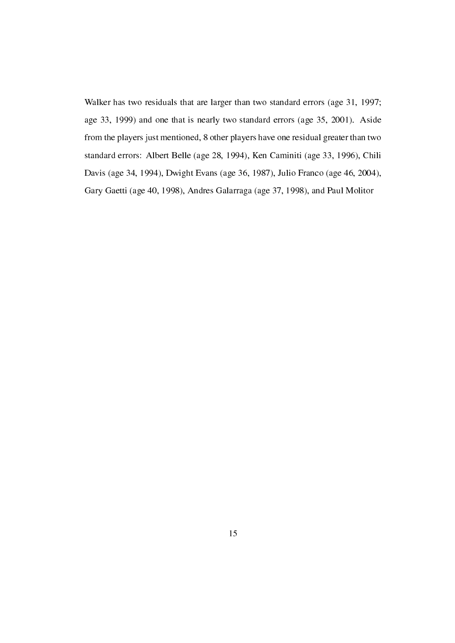Walker has two residuals that are larger than two standard errors (age 31, 1997; age 33, 1999) and one that is nearly two standard errors (age 35, 2001). Aside from the players just mentioned, 8 other players have one residual greater than two standard errors: Albert Belle (age 28, 1994), Ken Caminiti (age 33, 1996), Chili Davis (age 34, 1994), Dwight Evans (age 36, 1987), Julio Franco (age 46, 2004), Gary Gaetti (age 40, 1998), Andres Galarraga (age 37, 1998), and Paul Molitor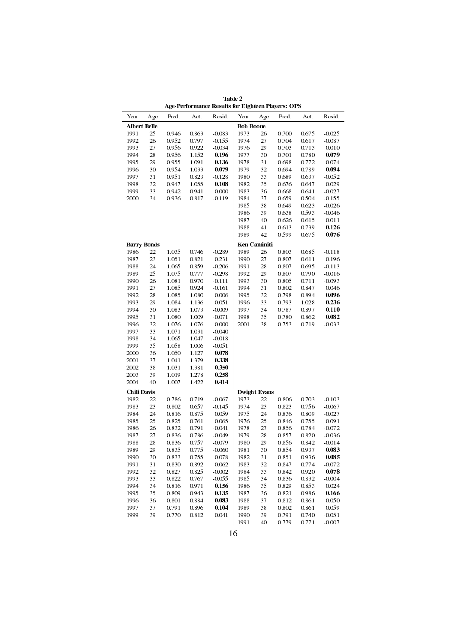Table 2 Age-Performance Results for Eighteen Players: OPS

|                     |                    |                |                | нде-генотиансе кезанз юг вядшеси глауетз. От э |                  |                     |                |                |                   |
|---------------------|--------------------|----------------|----------------|------------------------------------------------|------------------|---------------------|----------------|----------------|-------------------|
| Year                | A ge               | Pred.          | Act.           | Resid.                                         | Year             | A ge                | Pred.          | Act.           | Resid.            |
| <b>Albert Belle</b> |                    |                |                |                                                | <b>Bob Boone</b> |                     |                |                |                   |
| 1991                | 25                 | 0.946          | 0.863          | $-0.083$                                       | 1973             | 26                  | 0.700          | 0.675          | $-0.025$          |
| 1992                | 26                 | 0.952          | 0.797          | $-0.155$                                       | 1974             | 27                  | 0.704          | 0.617          | $-0.087$          |
| 1993                | 27                 | 0.956          | 0.922          | $-0.034$                                       | 1976             | 29                  | 0.703          | 0.713          | 0.010             |
| 1994                | 28                 | 0.956          | 1.152          | 0.196                                          | 1977             | 30                  | 0.701          | 0.780          | 0.079             |
| 1995                | 29                 | 0.955          | 1.091          | 0.136                                          | 1978             | 31                  | 0.698          | 0.772          | 0.074             |
| 1996                | 30                 | 0.954          | 1.033          | 0.079                                          | 1979             | 32                  | 0.694          | 0.789          | 0.094             |
| 1997                | 31                 | 0.951          | 0.823          | $-0.128$                                       | 1980             | 33                  | 0.689          | 0.637          | $-0.052$          |
| 1998                | 32                 | 0.947          | 1.055          | 0.108                                          | 1982             | 35                  | 0.676          | 0.647          | $-0.029$          |
| 1999                | 33                 | 0.942          | 0.941          | 0.000                                          | 1983             | 36                  | 0.668          | 0.641          | $-0.027$          |
| 2000                | 34                 | 0.936          | 0.817          | $-0.119$                                       | 1984             | 37                  | 0.659          | 0.504          | $-0.155$          |
|                     |                    |                |                |                                                | 1985             | 38                  | 0.649          | 0.623          | $-0.026$          |
|                     |                    |                |                |                                                | 1986             | 39                  | 0.638          | 0.593          | $-0.046$          |
|                     |                    |                |                |                                                | 1987             | 40                  | 0.626          | 0.615          | $-0.011$          |
|                     |                    |                |                |                                                | 1988             | 41                  | 0.613          | 0.739          | 0.126             |
|                     |                    |                |                |                                                | 1989             | 42                  | 0.599          | 0.675          | 0.076             |
|                     | <b>Barry Bonds</b> |                |                |                                                |                  | Ken Caminiti        |                |                |                   |
| 1986                | 22                 | 1.035          | 0.746          | $-0.289$                                       | 1989             | 26                  | 0.803          | 0.685          | $-0.118$          |
| 1987                | 23                 | 1.051          | 0.821          | $-0.231$                                       | 1990             | 27                  | 0.807          | 0.611          | $-0.196$          |
| 1988                | 24                 | 1.065          | 0.859          | $-0.206$                                       | 1991             | 28                  | 0.807          | 0.695          | $-0.113$          |
| 1989                | 25                 | 1.075          | 0.777          | $-0.298$                                       | 1992             | 29                  | 0.807          | 0.790          | $-0.016$          |
| 1990                | 26                 | 1.081          | 0.970          | $-0.111$                                       | 1993             | 30                  | 0.805          | 0.711          | $-0.093$          |
| 1991                | 27                 | 1.085          | 0.924          | $-0.161$                                       | 1994             | 31                  | 0.802          | 0.847          | 0.046             |
| 1992                | 28                 | 1.085          | 1.080          | $-0.006$                                       | 1995             | 32                  | 0.798          | 0.894          | 0.096             |
| 1993                | 29                 | 1.084          | 1.136          | 0.051                                          | 1996             | 33                  | 0.793          | 1.028          | 0.236             |
| 1994                | 30                 | 1.083          | 1.073          | $-0.009$                                       | 1997             | 34                  | 0.787          | 0.897          | 0.110             |
| 1995<br>1996        | 31<br>32           | 1.080<br>1.076 | 1.009<br>1.076 | $-0.071$<br>0.000                              | 1998<br>2001     | 35<br>38            | 0.780<br>0.753 | 0.862<br>0.719 | 0.082<br>$-0.033$ |
| 1997                | 33                 |                |                |                                                |                  |                     |                |                |                   |
| 1998                | 34                 | 1.071<br>1.065 | 1.031<br>1.047 | $-0.040$<br>$-0.018$                           |                  |                     |                |                |                   |
| 1999                | 35                 | 1.058          | 1.006          | $-0.051$                                       |                  |                     |                |                |                   |
| 2000                | 36                 | 1.050          | 1.127          | 0.078                                          |                  |                     |                |                |                   |
| 2001                | 37                 | 1.041          | 1.379          | 0.338                                          |                  |                     |                |                |                   |
| 2002                | 38                 | 1.031          | 1.381          | 0.350                                          |                  |                     |                |                |                   |
| 2003                | 39                 | 1.019          | 1.278          | 0.258                                          |                  |                     |                |                |                   |
| 2004                | 40                 | 1.007          | 1.422          | 0.414                                          |                  |                     |                |                |                   |
| <b>Chili Davis</b>  |                    |                |                |                                                |                  | <b>Dwight Evans</b> |                |                |                   |
| 1982                | 22                 | 0.786          | 0.719          | $-0.067$                                       | 1973             | 22                  | 0.806          | 0.703          | $-0.103$          |
| 1983                | 23                 | 0.802          | 0.657          | $-0.145$                                       | 1974             | 23                  | 0.823          | 0.756          | $-0.067$          |
| 1984                | 24                 | 0.816          | 0.875          | 0.059                                          | 1975             | 24                  | 0.836          | 0.809          | $-0.027$          |
| 1985                | 25                 | 0.825          | 0.761          | $-0.065$                                       | 1976             | 25                  | 0.846          | 0.755          | $-0.091$          |
| 1986                | 26                 | 0.832          | 0.791          | $-0.041$                                       | 1978             | 27                  | 0.856          | 0.784          | $-0.072$          |
| 1987                | 27                 | 0.836          | 0.786          | $-0.049$                                       | 1979             | 28                  | 0.857          | 0.820          | $-0.036$          |
| 1988                | 28                 | 0.836          | 0.757          | $-0.079$                                       | 1980             | 29                  | 0.856          | 0.842          | $-0.014$          |
| 1989                | 29                 | 0.835          | 0.775          | -0.060                                         | 1981             | 30                  | 0.854          | 0.937          | 0.083             |
| 1990                | 30                 | 0.833          | 0.755          | $-0.078$                                       | 1982             | 31                  | 0.851          | 0.936          | 0.085             |
| 1991                | 31                 | 0.830          | 0.892          | 0.062                                          | 1983             | 32                  | 0.847          | 0.774          | $-0.072$          |
| 1992                | 32                 | 0.827          | 0.825          | $-0.002$                                       | 1984             | 33                  | 0.842          | 0.920          | 0.078             |
| 1993                | 33                 | 0.822          | 0.767          | $-0.055$                                       | 1985             | 34                  | 0.836          | 0.832          | $-0.004$          |
| 1994                | 34                 | 0.816          | 0.971          | 0.156                                          | 1986             | 35                  | 0.829          | 0.853          | 0.024             |
| 1995                | 35                 | 0.809          | 0.943          | 0.135                                          | 1987             | 36                  | 0.821          | 0.986          | 0.166             |
| 1996                | 36                 | 0.801          | 0.884          | 0.083                                          | 1988             | 37                  | 0.812          | 0.861          | 0.050             |
| 1997                | 37                 | 0.791          | 0.896          | 0.104                                          | 1989             | 38                  | 0.802          | 0.861          | 0.059             |
| 1999                | 39                 | 0.770          | 0.812          | 0.041                                          | 1990             | 39                  | 0.791          | 0.740          | $-0.051$          |
|                     |                    |                |                |                                                | 1991             | 40                  | 0.779          | 0.771          | $-0.007$          |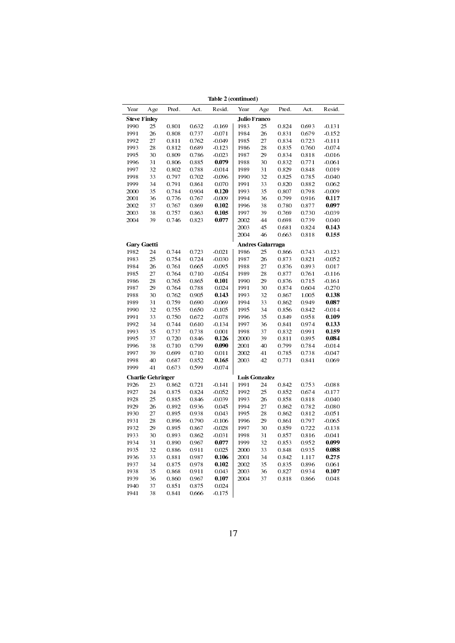| Year<br><b>Steve Finley</b><br>1990<br>1991 | A ge<br>25<br>26<br>27   | Pred.<br>0.801 | Act.  | Resid.               | Year | A ge                    | Pred. | Act.  | Resid.   |
|---------------------------------------------|--------------------------|----------------|-------|----------------------|------|-------------------------|-------|-------|----------|
|                                             |                          |                |       |                      |      |                         |       |       |          |
|                                             |                          |                |       |                      |      | <b>Julio Franco</b>     |       |       |          |
|                                             |                          |                | 0.632 | $-0.169$             | 1983 | 25                      | 0.824 | 0.693 | $-0.131$ |
|                                             |                          | 0.808          | 0.737 | $-0.071$             | 1984 | 26                      | 0.831 | 0.679 | $-0.152$ |
| 1992                                        |                          | 0.811          | 0.762 | $-0.049$             | 1985 | 27                      | 0.834 | 0.723 | $-0.111$ |
| 1993                                        | 28                       | 0.812          | 0.689 | $-0.123$             | 1986 | 28                      | 0.835 | 0.760 | $-0.074$ |
| 1995                                        | 30                       | 0.809          | 0.786 | $-0.023$             | 1987 | 29                      | 0.834 | 0.818 | $-0.016$ |
| 1996                                        | 31                       | 0.806          | 0.885 | 0.079                | 1988 | 30                      | 0.832 | 0.771 | $-0.061$ |
| 1997                                        | 32                       | 0.802          | 0.788 | $-0.014$             | 1989 | 31                      | 0.829 | 0.848 | 0.019    |
| 1998                                        | 33                       | 0.797          | 0.702 | $-0.096$             | 1990 | 32                      | 0.825 | 0.785 | $-0.040$ |
| 1999                                        | 34                       | 0.791          | 0.861 | 0.070                | 1991 | 33                      | 0.820 | 0.882 | 0.062    |
| 2000                                        | 35                       | 0.784          | 0.904 | 0.120                | 1993 | 35                      | 0.807 | 0.798 | $-0.009$ |
| 2001                                        | 36                       | 0.776          | 0.767 | $-0.009$             | 1994 | 36                      | 0.799 | 0.916 | 0.117    |
| 2002                                        | 37                       |                | 0.869 |                      | 1996 | 38                      |       |       |          |
|                                             |                          | 0.767          |       | 0.102                |      |                         | 0.780 | 0.877 | 0.097    |
| 2003                                        | 38                       | 0.757          | 0.863 | 0.105                | 1997 | 39                      | 0.769 | 0.730 | $-0.039$ |
| 2004                                        | 39                       | 0.746          | 0.823 | 0.077                | 2002 | 44                      | 0.698 | 0.739 | 0.040    |
|                                             |                          |                |       |                      | 2003 | 45                      | 0.681 | 0.824 | 0.143    |
|                                             |                          |                |       |                      | 2004 | 46                      | 0.663 | 0.818 | 0.155    |
| <b>Gary Gaetti</b>                          |                          |                |       |                      |      | <b>Andres Galarraga</b> |       |       |          |
| 1982                                        | 24                       | 0.744          | 0.723 | $-0.021$             | 1986 | 25                      | 0.866 | 0.743 | $-0.123$ |
| 1983                                        | 25                       | 0.754          | 0.724 | $-0.030$             | 1987 | 26                      | 0.873 | 0.821 | $-0.052$ |
| 1984                                        | 26                       | 0.761          | 0.665 | $-0.095$             | 1988 | 27                      | 0.876 | 0.893 | 0.017    |
| 1985                                        | 27                       | 0.764          | 0.710 | $-0.054$             | 1989 | 28                      | 0.877 | 0.761 | $-0.116$ |
| 1986                                        | 28                       | 0.765          | 0.865 | 0.101                | 1990 | 29                      | 0.876 | 0.715 | $-0.161$ |
| 1987                                        | 29                       | 0.764          | 0.788 | 0.024                | 1991 | 30                      | 0.874 | 0.604 | $-0.270$ |
| 1988                                        | 30                       | 0.762          | 0.905 | 0.143                | 1993 | 32                      | 0.867 | 1.005 | 0.138    |
| 1989                                        | 31                       | 0.759          | 0.690 | $-0.069$             | 1994 | 33                      | 0.862 | 0.949 | 0.087    |
| 1990                                        | 32                       | 0.755          | 0.650 | $-0.105$             | 1995 | 34                      | 0.856 | 0.842 | $-0.014$ |
| 1991                                        | 33                       | 0.750          | 0.672 | $-0.078$             | 1996 | 35                      | 0.849 | 0.958 | 0.109    |
| 1992                                        | 34                       | 0.744          | 0.610 | $-0.134$             | 1997 | 36                      | 0.841 | 0.974 | 0.133    |
| 1993                                        | 35                       | 0.737          | 0.738 | 0.001                | 1998 | 37                      | 0.832 | 0.991 | 0.159    |
| 1995                                        | 37                       | 0.720          | 0.846 | 0.126                | 2000 | 39                      | 0.811 | 0.895 | 0.084    |
| 1996                                        | 38                       | 0.710          | 0.799 | 0.090                | 2001 | 40                      | 0.799 | 0.784 | $-0.014$ |
| 1997                                        | 39                       | 0.699          | 0.710 | 0.011                | 2002 | 41                      | 0.785 | 0.738 | $-0.047$ |
| 1998                                        | 40                       | 0.687          | 0.852 | 0.165                | 2003 | 42                      | 0.771 | 0.841 | 0.069    |
| 1999                                        | 41                       | 0.673          | 0.599 | $-0.074$             |      |                         |       |       |          |
|                                             | <b>Charlie Gehringer</b> |                |       |                      |      | Luis Gonzalez           |       |       |          |
| 1926                                        | 23                       | 0.862          | 0.721 | $-0.141$             | 1991 | 24                      | 0.842 | 0.753 | $-0.088$ |
| 1927                                        | 24                       | 0.875          | 0.824 | $-0.052$             | 1992 | 25                      | 0.852 | 0.674 | $-0.177$ |
| 1928                                        | 25                       | 0.885          | 0.846 | $-0.039$             | 1993 | 26                      | 0.858 | 0.818 | $-0.040$ |
| 1929                                        | 26                       | 0.892          | 0.936 | 0.045                | 1994 | 27                      | 0.862 | 0.782 | $-0.080$ |
| 1930                                        | 27                       | 0.895          | 0.938 | 0.043                | 1995 | 28                      | 0.862 | 0.812 | $-0.051$ |
| 1931                                        | 28                       | 0.896          | 0.790 | $-0.106$             | 1996 | 29                      | 0.861 | 0.797 | $-0.065$ |
|                                             | 29                       |                |       |                      | 1997 | 30                      |       |       | $-0.138$ |
| 1932                                        |                          | 0.895          | 0.867 | $-0.028$<br>$-0.031$ |      | 31                      | 0.859 | 0.722 |          |
| 1933                                        | 30                       | 0.893          | 0.862 |                      | 1998 |                         | 0.857 | 0.816 | $-0.041$ |
| 1934                                        | 31                       | 0.890          | 0.967 | 0.077                | 1999 | 32                      | 0.853 | 0.952 | 0.099    |
| 1935                                        | 32                       | 0.886          | 0.911 | 0.025                | 2000 | 33                      | 0.848 | 0.935 | 0.088    |
| 1936                                        | 33                       | 0.881          | 0.987 | 0.106                | 2001 | 34                      | 0.842 | 1.117 | 0.275    |
| 1937                                        | 34                       | 0.875          | 0.978 | 0.102                | 2002 | 35                      | 0.835 | 0.896 | 0.061    |
| 1938                                        | 35                       | 0.868          | 0.911 | 0.043                | 2003 | 36                      | 0.827 | 0.934 | 0.107    |
| 1939                                        | 36                       | 0.860          | 0.967 | 0.107                | 2004 | 37                      | 0.818 | 0.866 | 0.048    |
| 1940                                        | 37                       | 0.851          | 0.875 | 0.024                |      |                         |       |       |          |
| 1941                                        | 38                       | 0.841          | 0.666 | $-0.175$             |      |                         |       |       |          |
|                                             |                          |                |       |                      |      |                         |       |       |          |

Table 2 (continued)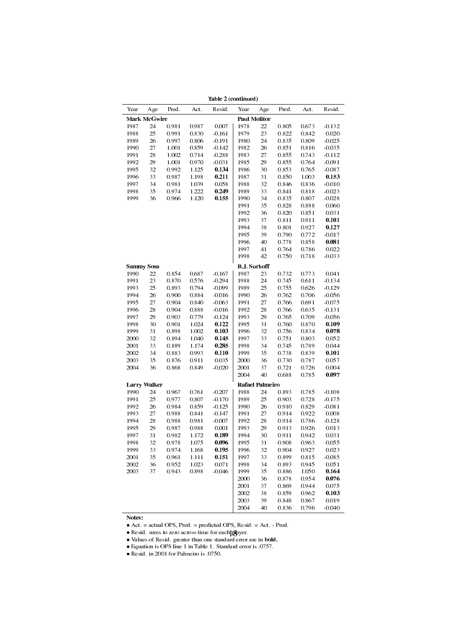|      |                     |       |       | таоне "дебиницент |                     |                        |       |       |          |
|------|---------------------|-------|-------|-------------------|---------------------|------------------------|-------|-------|----------|
| Year | A ge                | Pred. | Act.  | Resid.            | Year                | A ge                   | Pred. | Act.  | Resid.   |
|      | <b>Mark McGwire</b> |       |       |                   |                     | <b>Paul Molitor</b>    |       |       |          |
| 1987 | 24                  | 0.981 | 0.987 | 0.007             | 1978                | 22                     | 0.805 | 0.673 | $-0.132$ |
| 1988 | 25                  | 0.991 | 0.830 | $-0.161$          | 1979                | 23                     | 0.822 | 0.842 | 0.020    |
| 1989 | 26                  | 0.997 | 0.806 | $-0.191$          | 1980                | 24                     | 0.835 | 0.809 | $-0.025$ |
| 1990 | 27                  | 1.001 | 0.859 | $-0.142$          | 1982                | 26                     | 0.851 | 0.816 | $-0.035$ |
| 1991 | 28                  | 1.002 | 0.714 | $-0.288$          | 1983                | 27                     | 0.855 | 0.743 | $-0.112$ |
| 1992 | 29                  | 1.001 | 0.970 | $-0.031$          | 1985                | 29                     | 0.855 | 0.764 | $-0.091$ |
| 1995 | 32                  | 0.992 | 1.125 | 0.134             | 1986                | 30                     | 0.853 | 0.765 | $-0.087$ |
| 1996 | 33                  | 0.987 | 1.198 | 0.211             | 1987                | 31                     | 0.850 | 1.003 | 0.153    |
| 1997 | 34                  | 0.981 | 1.039 | 0.058             | 1988                | 32                     | 0.846 | 0.836 | $-0.010$ |
| 1998 | 35                  | 0.974 | 1.222 | 0.249             | 1989                | 33                     | 0.841 | 0.818 | $-0.023$ |
| 1999 | 36                  | 0.966 | 1.120 | 0.155             | 1990                | 34                     | 0.835 | 0.807 | $-0.028$ |
|      |                     |       |       |                   | 1991                | 35                     | 0.828 | 0.888 | 0.060    |
|      |                     |       |       |                   | 1992                | 36                     | 0.820 | 0.851 | 0.031    |
|      |                     |       |       |                   | 1993                | 37                     | 0.811 | 0.911 | 0.101    |
|      |                     |       |       |                   | 1994                | 38                     | 0.801 | 0.927 | 0.127    |
|      |                     |       |       |                   | 1995                | 39                     | 0.790 | 0.772 | $-0.017$ |
|      |                     |       |       |                   | 1996                | 40                     | 0.778 | 0.858 | 0.081    |
|      |                     |       |       |                   | 1997                | 41                     | 0.764 | 0.786 | 0.022    |
|      |                     |       |       |                   | 1998                | 42                     | 0.750 | 0.718 | $-0.033$ |
|      | <b>Sammy Sosa</b>   |       |       |                   | <b>B.J. Surhoff</b> |                        |       |       |          |
| 1990 | 22                  | 0.854 | 0.687 | $-0.167$          | 1987                | 23                     | 0.732 | 0.773 | 0.041    |
| 1991 | 23                  | 0.870 | 0.576 | $-0.294$          | 1988                | 24                     | 0.745 | 0.611 | $-0.134$ |
| 1993 | 25                  | 0.893 | 0.794 | $-0.099$          | 1989                | 25                     | 0.755 | 0.626 | $-0.129$ |
| 1994 | 26                  | 0.900 | 0.884 | $-0.016$          | 1990                | 26                     | 0.762 | 0.706 | $-0.056$ |
| 1995 | 27                  | 0.904 | 0.840 | $-0.063$          | 1991                | 27                     | 0.766 | 0.691 | $-0.075$ |
| 1996 | 28                  | 0.904 | 0.888 | $-0.016$          | 1992                | 28                     | 0.766 | 0.635 | $-0.131$ |
| 1997 | 29                  | 0.903 | 0.779 | $-0.124$          | 1993                | 29                     | 0.765 | 0.709 | $-0.056$ |
| 1998 | 30                  | 0.901 | 1.024 | 0.122             | 1995                | 31                     | 0.760 | 0.870 | 0.109    |
| 1999 | 31                  | 0.898 | 1.002 | 0.103             | 1996                | 32                     | 0.756 | 0.834 | 0.078    |
| 2000 | 32                  | 0.894 | 1.040 | 0.145             | 1997                | 33                     | 0.751 | 0.803 | 0.052    |
| 2001 | 33                  | 0.889 | 1.174 | 0.285             | 1998                | 34                     | 0.745 | 0.789 | 0.044    |
| 2002 | 34                  | 0.883 | 0.993 | 0.110             | 1999                | 35                     | 0.738 | 0.839 | 0.101    |
| 2003 | 35                  | 0.876 | 0.911 | 0.035             | 2000                | 36                     | 0.730 | 0.787 | 0.057    |
| 2004 | 36                  | 0.868 | 0.849 | $-0.020$          | 2001                | 37                     | 0.721 | 0.726 | 0.004    |
|      |                     |       |       |                   | 2004                | 40                     | 0.688 | 0.785 | 0.097    |
|      | <b>Larry Walker</b> |       |       |                   |                     | <b>Rafael Palmeiro</b> |       |       |          |
| 1990 | 24                  | 0.967 | 0.761 | $-0.207$          | 1988                | 24                     | 0.893 | 0.785 | $-0.108$ |
| 1991 | 25                  | 0.977 | 0.807 | $-0.170$          | 1989                | 25                     | 0.903 | 0.728 | $-0.175$ |
| 1992 | 26                  | 0.984 | 0.859 | $-0.125$          | 1990                | 26                     | 0.910 | 0.829 | $-0.081$ |
| 1993 | 27                  | 0.988 | 0.841 | $-0.147$          | 1991                | 27                     | 0.914 | 0.922 | 0.008    |
| 1994 | 28                  | 0.988 | 0.981 | $-0.007$          | 1992                | 28                     | 0.914 | 0.786 | $-0.128$ |
| 1995 | 29                  | 0.987 | 0.988 | 0.001             | 1993                | 29                     | 0.913 | 0.926 | 0.013    |
| 1997 | 31                  | 0.982 | 1.172 | 0.189             | 1994                | 30                     | 0.911 | 0.942 | 0.031    |
| 1998 | 32                  | 0.978 | 1.075 | 0.096             | 1995                | 31                     | 0.908 | 0.963 | 0.055    |
| 1999 | 33                  | 0.974 | 1.168 | 0.195             | 1996                | 32                     | 0.904 | 0.927 | 0.023    |
| 2001 | 35                  | 0.961 | 1.111 | 0.151             | 1997                | 33                     | 0.899 | 0.815 | $-0.085$ |
| 2002 | 36                  | 0.952 | 1.023 | 0.071             | 1998                | 34                     | 0.893 | 0.945 | 0.051    |
| 2003 | 37                  | 0.943 | 0.898 | $-0.046$          | 1999                | 35                     | 0.886 | 1.050 | 0.164    |
|      |                     |       |       |                   | 2000                | 36                     | 0.878 | 0.954 | 0.076    |
|      |                     |       |       |                   | 2001                | 37                     | 0.869 | 0.944 | 0.075    |
|      |                     |       |       |                   | 2002                | 38                     | 0.859 | 0.962 | 0.103    |
|      |                     |       |       |                   | 2003                | 39                     | 0.848 | 0.867 | 0.019    |
|      |                     |       |       |                   | 2004                | 40                     | 0.836 | 0.796 | $-0.040$ |

Table 2 (continued)

Notes:

*•* Act. = actual OPS, Pred. = predicted OPS, Resid. = Act. - Pred.

*•* Values of Resid. greater than one standard error are in bold.

*•* Equation is OPS line 1 in Table 1. Standard error is .0757.

*•* Resid. in 2001 for Palmeiro is .0750.

<sup>•</sup> Resid. sums to zero across time for each**]pg**ayer. 18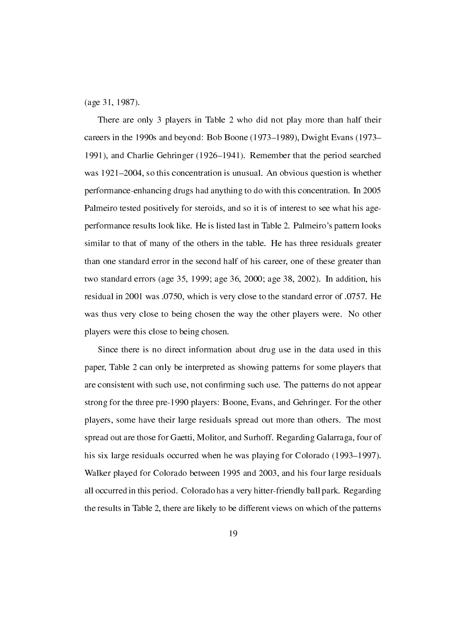(age 31, 1987).

There are only 3 players in Table 2 who did not play more than half their careers in the 1990s and beyond: Bob Boone (1973–1989), Dwight Evans (1973– 1991), and Charlie Gehringer (1926–1941). Remember that the period searched was  $1921-2004$ , so this concentration is unusual. An obvious question is whether performance-enhancing drugs had anything to do with this concentration. In 2005 Palmeiro tested positively for steroids, and so it is of interest to see what his ageperformance results look like. He is listed last in Table 2. Palmeiro's pattern looks similar to that of many of the others in the table. He has three residuals greater than one standard error in the second half of his career, one of these greater than two standard errors (age 35, 1999; age 36, 2000; age 38, 2002). In addition, his residual in 2001 was .0750, which is very close to the standard error of .0757. He was thus very close to being chosen the way the other players were. No other players were this close to being chosen.

Since there is no direct information about drug use in the data used in this paper, Table 2 can only be interpreted as showing patterns for some players that are consistent with such use, not confirming such use. The patterns do not appear strong for the three pre-1990 players: Boone, Evans, and Gehringer. For the other players, some have their large residuals spread out more than others. The most spread out are those for Gaetti, Molitor, and Surhoff. Regarding Galarraga, four of his six large residuals occurred when he was playing for Colorado (1993–1997). Walker played for Colorado between 1995 and 2003, and his four large residuals all occurred in this period. Colorado has a very hitter-friendly ball park. Regarding the results in Table 2, there are likely to be different views on which of the patterns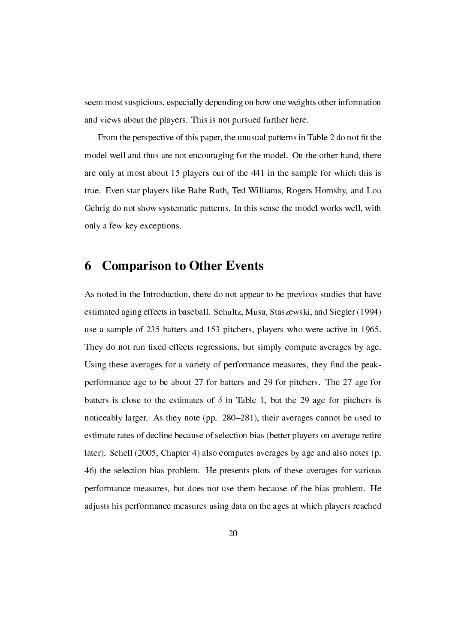seem most suspicious, especially depending on how one weights other information and views about the players. This is not pursued further here.

From the perspective of this paper, the unusual patterns in Table 2 do not fit the model well and thus are not encouraging for the model. On the other hand, there are only at most about 15 players out of the 441 in the sample for which this is true. Even star players like Babe Ruth, Ted Williams, Rogers Hornsby, and Lou Gehrig do not show systematic patterns. In this sense the model works well, with only a few key exceptions.

### 6 Comparison to Other Events

As noted in the Introduction, there do not appear to be previous studies that have estimated aging effects in baseball. Schultz, Musa, Staszewski, and Siegler (1994) use a sample of 235 batters and 153 pitchers, players who were active in 1965. They do not run fixed-effects regressions, but simply compute averages by age. Using these averages for a variety of performance measures, they find the peakperformance age to be about 27 for batters and 29 for pitchers. The 27 age for batters is close to the estimates of  $\delta$  in Table 1, but the 29 age for pitchers is noticeably larger. As they note (pp. 280–281), their averages cannot be used to estimate rates of decline because of selection bias (better players on average retire later). Schell (2005, Chapter 4) also computes averages by age and also notes (p. 46) the selection bias problem. He presents plots of these averages for various performance measures, but does not use them because of the bias problem. He adjusts his performance measures using data on the ages at which players reached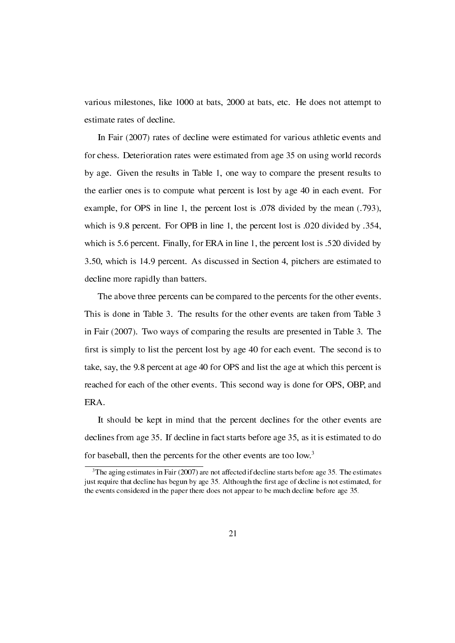various milestones, like 1000 at bats, 2000 at bats, etc. He does not attempt to estimate rates of decline.

In Fair (2007) rates of decline were estimated for various athletic events and for chess. Deterioration rates were estimated from age 35 on using world records by age. Given the results in Table 1, one way to compare the present results to the earlier ones is to compute what percent is lost by age 40 in each event. For example, for OPS in line 1, the percent lost is .078 divided by the mean (.793), which is 9.8 percent. For OPB in line 1, the percent lost is .020 divided by .354, which is 5.6 percent. Finally, for ERA in line 1, the percent lost is .520 divided by 3.50, which is 14.9 percent. As discussed in Section 4, pitchers are estimated to decline more rapidly than batters.

The above three percents can be compared to the percents for the other events. This is done in Table 3. The results for the other events are taken from Table 3 in Fair (2007). Two ways of comparing the results are presented in Table 3. The first is simply to list the percent lost by age  $40$  for each event. The second is to take, say, the 9.8 percent at age 40 for OPS and list the age at which this percent is reached for each of the other events. This second way is done for OPS, OBP, and ERA.

It should be kept in mind that the percent declines for the other events are declines from age 35. If decline in fact starts before age 35, as it is estimated to do for baseball, then the percents for the other events are too low.<sup>3</sup>

 $3$ The aging estimates in Fair (2007) are not affected if decline starts before age 35. The estimates just require that decline has begun by age 35. Although the first age of decline is not estimated, for the events considered in the paper there does not appear to be much decline before age 35.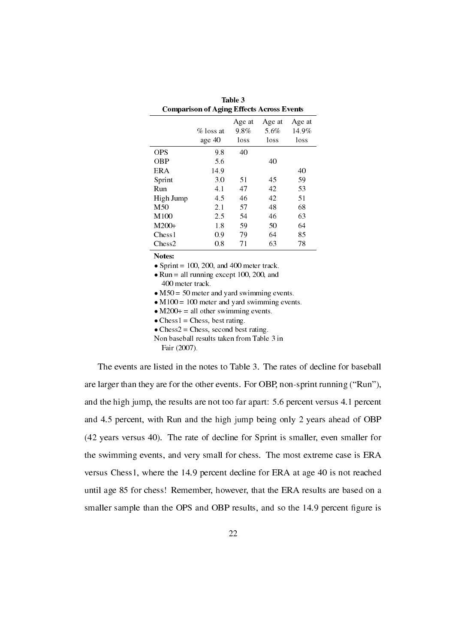|                    | <b>Comparison of Aging Effects Across Events</b> |                        |                        |                         |
|--------------------|--------------------------------------------------|------------------------|------------------------|-------------------------|
|                    | $\%$ loss at<br>age 40                           | Age at<br>9.8%<br>loss | Age at<br>5.6%<br>loss | Age at<br>14.9%<br>loss |
| <b>OPS</b>         | 9.8                                              | 40                     |                        |                         |
| OBP                | 5.6                                              |                        | 40                     |                         |
| ERA                | 14.9                                             |                        |                        | 40                      |
| Sprint             | 3.0                                              | 51                     | 45                     | 59                      |
| Run                | 4.1                                              | 47                     | 42                     | 53                      |
| High Jump          | 4.5                                              | 46                     | 42                     | 51                      |
| M50                | 2.1                                              | 57                     | 48                     | 68                      |
| M100               | 2.5                                              | 54                     | 46                     | 63                      |
| $M200+$            | 1.8                                              | 59                     | 50                     | 64                      |
| Chess <sub>1</sub> | 0.9                                              | 79                     | 64                     | 85                      |
| Chess2             | 0.8                                              | 71                     | 63                     | 78                      |

Table 3

Notes:

• Sprint  $= 100, 200,$  and 400 meter track.

• Run = all running except 100, 200, and 400 meter track.

• M50 = 50 meter and yard swimming events.

• M100 = 100 meter and yard swimming events.

• M200+ = all other swimming events.

• Chess $1$  = Chess, best rating.

• Chess2 = Chess, second best rating.

Non baseball results taken from Table 3 in Fair (2007).

The events are listed in the notes to Table 3. The rates of decline for baseball are larger than they are for the other events. For OBP, non-sprint running ("Run"), and the high jump, the results are not too far apart: 5.6 percent versus 4.1 percent and 4.5 percent, with Run and the high jump being only 2 years ahead of OBP (42 years versus 40). The rate of decline for Sprint is smaller, even smaller for the swimming events, and very small for chess. The most extreme case is ERA versus Chess1, where the 14.9 percent decline for ERA at age 40 is not reached until age 85 for chess! Remember, however, that the ERA results are based on a smaller sample than the OPS and OBP results, and so the 14.9 percent figure is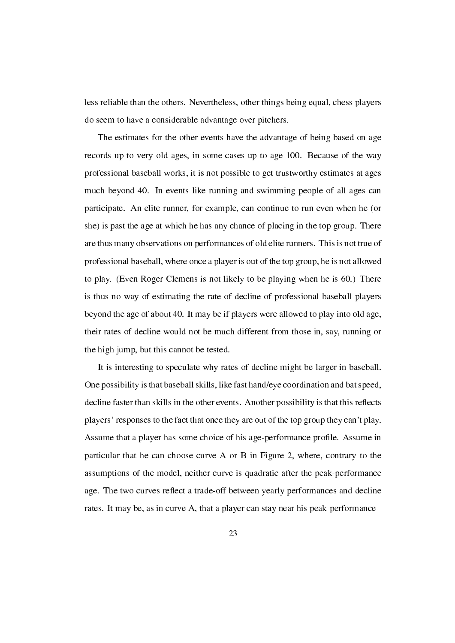less reliable than the others. Nevertheless, other things being equal, chess players do seem to have a considerable advantage over pitchers.

The estimates for the other events have the advantage of being based on age records up to very old ages, in some cases up to age 100. Because of the way professional baseball works, it is not possible to get trustworthy estimates at ages much beyond 40. In events like running and swimming people of all ages can participate. An elite runner, for example, can continue to run even when he (or she) is past the age at which he has any chance of placing in the top group. There are thus many observations on performances of old elite runners. This is not true of professional baseball, where once a player is out of the top group, he is not allowed to play. (Even Roger Clemens is not likely to be playing when he is 60.) There is thus no way of estimating the rate of decline of professional baseball players beyond the age of about 40. It may be if players were allowed to play into old age, their rates of decline would not be much different from those in, say, running or the high jump, but this cannot be tested.

It is interesting to speculate why rates of decline might be larger in baseball. One possibility is that baseball skills, like fast hand/eye coordination and bat speed, decline faster than skills in the other events. Another possibility is that this reflects players' responses to the fact that once they are out of the top group they can't play. Assume that a player has some choice of his age-performance profile. Assume in particular that he can choose curve A or B in Figure 2, where, contrary to the assumptions of the model, neither curve is quadratic after the peak-performance age. The two curves reflect a trade-off between yearly performances and decline rates. It may be, as in curve A, that a player can stay near his peak-performance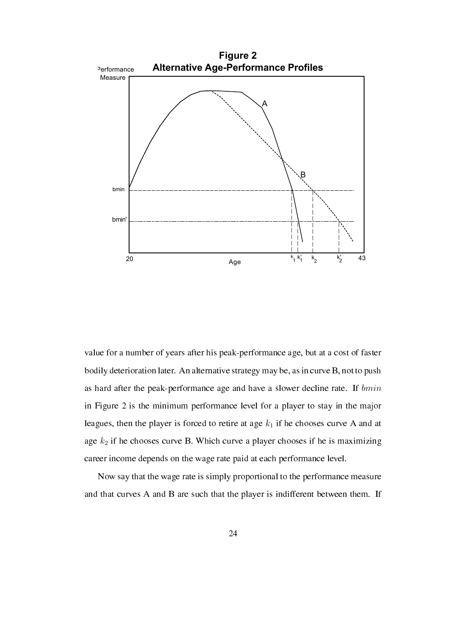

value for a number of years after his peak-performance age, but at a cost of faster bodily deterioration later. An alternative strategy may be, as in curve B, not to push as hard after the peak-performance age and have a slower decline rate. If *bmin* in Figure 2 is the minimum performance level for a player to stay in the major leagues, then the player is forced to retire at age  $k_1$  if he chooses curve A and at age *k*<sup>2</sup> if he chooses curve B. Which curve a player chooses if he is maximizing career income depends on the wage rate paid at each performance level.

Now say that the wage rate is simply proportional to the performance measure and that curves A and B are such that the player is indifferent between them. If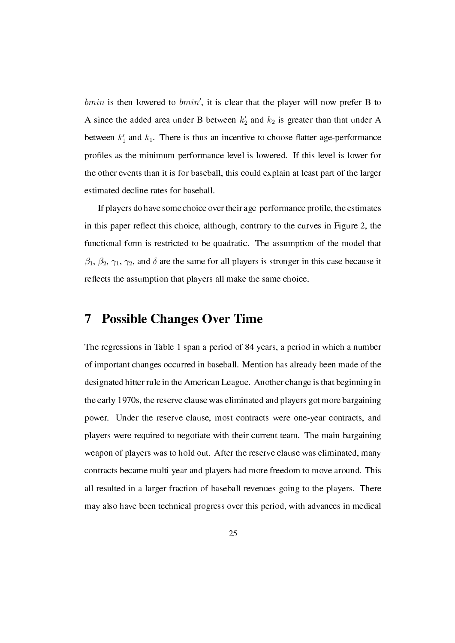*bmin* is then lowered to *bmin'*, it is clear that the player will now prefer B to A since the added area under B between  $k'_2$  and  $k_2$  is greater than that under A between  $k_1$  and  $k_1$ . There is thus an incentive to choose flatter age-performance profiles as the minimum performance level is lowered. If this level is lower for the other events than it is for baseball, this could explain at least part of the larger estimated decline rates for baseball.

If players do have some choice over their age-performance profile, the estimates in this paper reflect this choice, although, contrary to the curves in Figure 2, the functional form is restricted to be quadratic. The assumption of the model that  $\beta_1$ ,  $\beta_2$ ,  $\gamma_1$ ,  $\gamma_2$ , and  $\delta$  are the same for all players is stronger in this case because it reflects the assumption that players all make the same choice.

#### 7 Possible Changes Over Time

The regressions in Table 1 span a period of 84 years, a period in which a number of important changes occurred in baseball. Mention has already been made of the designated hitter rule in the American League. Another change is that beginning in the early 1970s, the reserve clause was eliminated and players got more bargaining power. Under the reserve clause, most contracts were one-year contracts, and players were required to negotiate with their current team. The main bargaining weapon of players was to hold out. After the reserve clause was eliminated, many contracts became multi year and players had more freedom to move around. This all resulted in a larger fraction of baseball revenues going to the players. There may also have been technical progress over this period, with advances in medical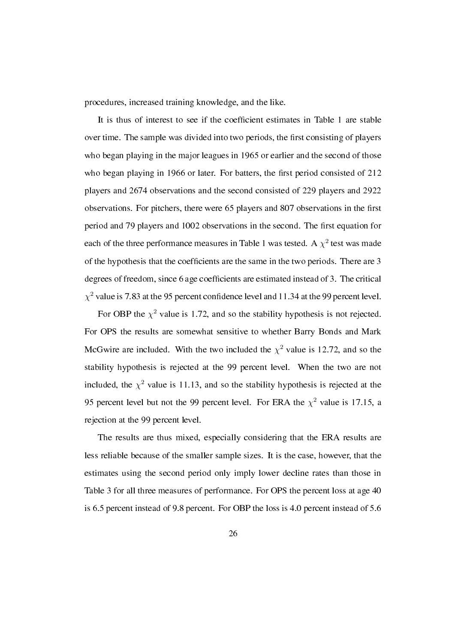procedures, increased training knowledge, and the like.

It is thus of interest to see if the coefficient estimates in Table 1 are stable over time. The sample was divided into two periods, the first consisting of players who began playing in the major leagues in 1965 or earlier and the second of those who began playing in 1966 or later. For batters, the first period consisted of  $212$ players and 2674 observations and the second consisted of 229 players and 2922 observations. For pitchers, there were 65 players and 807 observations in the first period and 79 players and 1002 observations in the second. The first equation for each of the three performance measures in Table 1 was tested. A  $\chi^2$  test was made of the hypothesis that the coefficients are the same in the two periods. There are 3 degrees of freedom, since 6 age coefficients are estimated instead of 3. The critical  $\chi^2$  value is 7.83 at the 95 percent confidence level and 11.34 at the 99 percent level.

For OBP the  $\chi^2$  value is 1.72, and so the stability hypothesis is not rejected. For OPS the results are somewhat sensitive to whether Barry Bonds and Mark McGwire are included. With the two included the  $\chi^2$  value is 12.72, and so the stability hypothesis is rejected at the 99 percent level. When the two are not included, the  $\chi^2$  value is 11.13, and so the stability hypothesis is rejected at the 95 percent level but not the 99 percent level. For ERA the  $\chi^2$  value is 17.15, a rejection at the 99 percent level.

The results are thus mixed, especially considering that the ERA results are less reliable because of the smaller sample sizes. It is the case, however, that the estimates using the second period only imply lower decline rates than those in Table 3 for all three measures of performance. For OPS the percent loss at age 40 is 6.5 percent instead of 9.8 percent. For OBP the loss is 4.0 percent instead of 5.6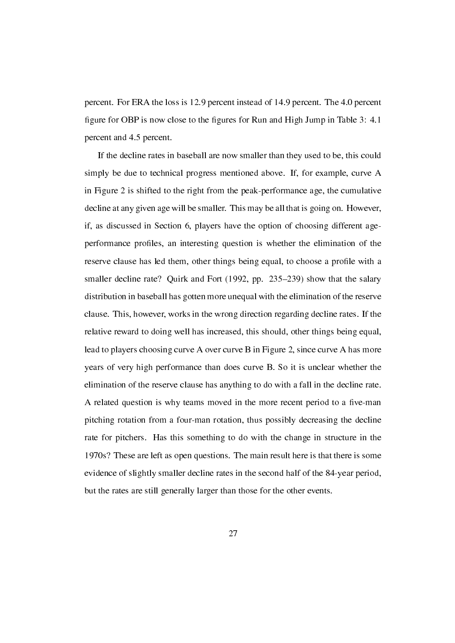percent. For ERA the loss is 12.9 percent instead of 14.9 percent. The 4.0 percent figure for OBP is now close to the figures for Run and High Jump in Table 3: 4.1 percent and 4.5 percent.

If the decline rates in baseball are now smaller than they used to be, this could simply be due to technical progress mentioned above. If, for example, curve A in Figure 2 is shifted to the right from the peak-performance age, the cumulative decline at any given age will be smaller. This may be all that is going on. However, if, as discussed in Section 6, players have the option of choosing different ageperformance proles, an interesting question is whether the elimination of the reserve clause has led them, other things being equal, to choose a profile with a smaller decline rate? Quirk and Fort (1992, pp. 235–239) show that the salary distribution in baseball has gotten more unequal with the elimination of the reserve clause. This, however, works in the wrong direction regarding decline rates. If the relative reward to doing well has increased, this should, other things being equal, lead to players choosing curve A over curve B in Figure 2, since curve A has more years of very high performance than does curve B. So it is unclear whether the elimination of the reserve clause has anything to do with a fall in the decline rate. A related question is why teams moved in the more recent period to a five-man pitching rotation from a four-man rotation, thus possibly decreasing the decline rate for pitchers. Has this something to do with the change in structure in the 1970s? These are left as open questions. The main result here is that there is some evidence of slightly smaller decline rates in the second half of the 84-year period, but the rates are still generally larger than those for the other events.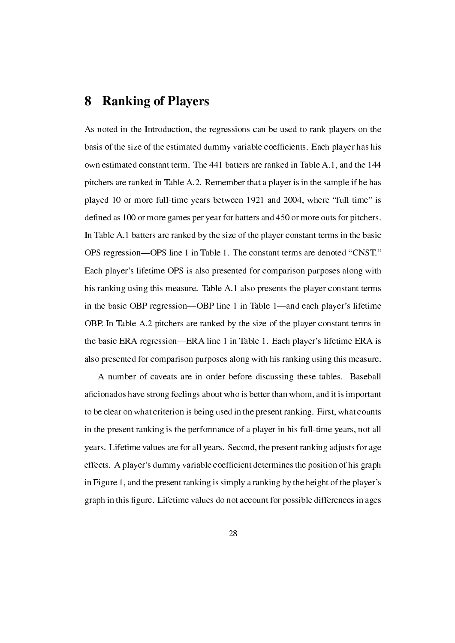### 8 Ranking of Players

As noted in the Introduction, the regressions can be used to rank players on the basis of the size of the estimated dummy variable coefficients. Each player has his own estimated constant term. The 441 batters are ranked in Table A.1, and the 144 pitchers are ranked in Table A.2. Remember that a player is in the sample if he has played 10 or more full-time years between  $1921$  and  $2004$ , where "full time" is defined as 100 or more games per year for batters and 450 or more outs for pitchers. In Table A.1 batters are ranked by the size of the player constant terms in the basic OPS regression—OPS line 1 in Table 1. The constant terms are denoted "CNST." Each player's lifetime OPS is also presented for comparison purposes along with his ranking using this measure. Table A.1 also presents the player constant terms in the basic OBP regression—OBP line 1 in Table 1—and each player's lifetime OBP. In Table A.2 pitchers are ranked by the size of the player constant terms in the basic ERA regression—ERA line 1 in Table 1. Each player's lifetime ERA is also presented for comparison purposes along with his ranking using this measure.

A number of caveats are in order before discussing these tables. Baseball aficionados have strong feelings about who is better than whom, and it is important to be clear on what criterion is being used in the present ranking. First, what counts in the present ranking is the performance of a player in his full-time years, not all years. Lifetime values are for all years. Second, the present ranking adjusts for age effects. A player's dummy variable coefcient determines the position of his graph in Figure 1, and the present ranking is simply a ranking by the height of the player's graph in this figure. Lifetime values do not account for possible differences in ages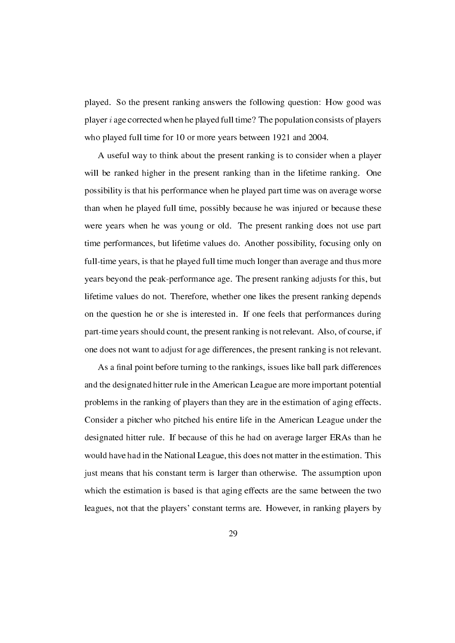played. So the present ranking answers the following question: How good was player *i* age corrected when he played full time? The population consists of players who played full time for 10 or more years between 1921 and 2004.

A useful way to think about the present ranking is to consider when a player will be ranked higher in the present ranking than in the lifetime ranking. One possibility is that his performance when he played part time was on average worse than when he played full time, possibly because he was injured or because these were years when he was young or old. The present ranking does not use part time performances, but lifetime values do. Another possibility, focusing only on full-time years, is that he played full time much longer than average and thus more years beyond the peak-performance age. The present ranking adjusts for this, but lifetime values do not. Therefore, whether one likes the present ranking depends on the question he or she is interested in. If one feels that performances during part-time years should count, the present ranking is not relevant. Also, of course, if one does not want to adjust for age differences, the present ranking is not relevant.

As a final point before turning to the rankings, issues like ball park differences and the designated hitter rule in the American League are more important potential problems in the ranking of players than they are in the estimation of aging effects. Consider a pitcher who pitched his entire life in the American League under the designated hitter rule. If because of this he had on average larger ERAs than he would have had in the National League, this does not matter in the estimation. This just means that his constant term is larger than otherwise. The assumption upon which the estimation is based is that aging effects are the same between the two leagues, not that the players' constant terms are. However, in ranking players by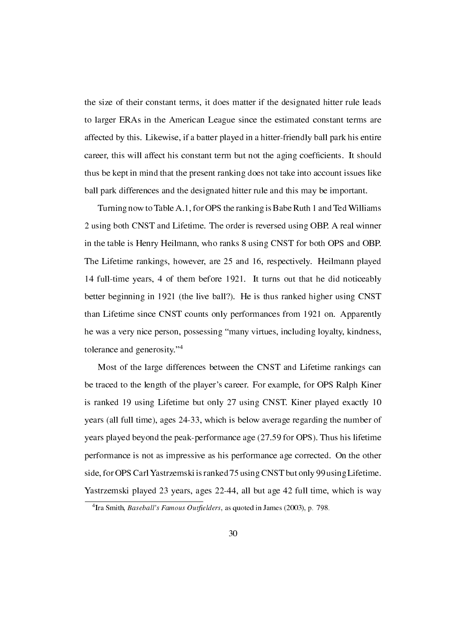the size of their constant terms, it does matter if the designated hitter rule leads to larger ERAs in the American League since the estimated constant terms are affected by this. Likewise, if a batter played in a hitter-friendly ball park his entire career, this will affect his constant term but not the aging coefficients. It should thus be kept in mind that the present ranking does not take into account issues like ball park differences and the designated hitter rule and this may be important.

Turning now to Table A.1, for OPS the ranking is Babe Ruth 1 and Ted Williams 2 using both CNST and Lifetime. The order is reversed using OBP. A real winner in the table is Henry Heilmann, who ranks 8 using CNST for both OPS and OBP. The Lifetime rankings, however, are 25 and 16, respectively. Heilmann played 14 full-time years, 4 of them before 1921. It turns out that he did noticeably better beginning in 1921 (the live ball?). He is thus ranked higher using CNST than Lifetime since CNST counts only performances from 1921 on. Apparently he was a very nice person, possessing "many virtues, including loyalty, kindness, tolerance and generosity."<sup>4</sup>

Most of the large differences between the CNST and Lifetime rankings can be traced to the length of the player's career. For example, for OPS Ralph Kiner is ranked 19 using Lifetime but only 27 using CNST. Kiner played exactly 10 years (all full time), ages 24-33, which is below average regarding the number of years played beyond the peak-performance age (27.59 for OPS). Thus his lifetime performance is not as impressive as his performance age corrected. On the other side, for OPS Carl Yastrzemski is ranked 75 using CNST but only 99 using Lifetime. Yastrzemski played 23 years, ages 22-44, all but age 42 full time, which is way

<sup>&</sup>lt;sup>4</sup> Ira Smith, Baseball's Famous Outfielders, as quoted in James (2003), p. 798.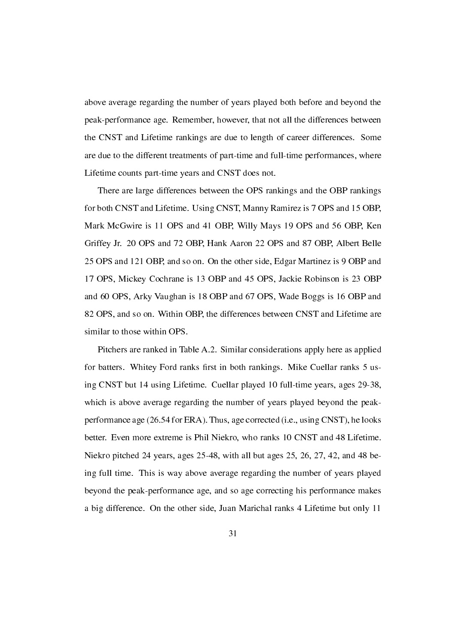above average regarding the number of years played both before and beyond the peak-performance age. Remember, however, that not all the differences between the CNST and Lifetime rankings are due to length of career differences. Some are due to the different treatments of part-time and full-time performances, where Lifetime counts part-time years and CNST does not.

There are large differences between the OPS rankings and the OBP rankings for both CNST and Lifetime. Using CNST, Manny Ramirez is 7 OPS and 15 OBP, Mark McGwire is 11 OPS and 41 OBP, Willy Mays 19 OPS and 56 OBP, Ken Griffey Jr. 20 OPS and 72 OBP, Hank Aaron 22 OPS and 87 OBP, Albert Belle 25 OPS and 121 OBP, and so on. On the other side, Edgar Martinez is 9 OBP and 17 OPS, Mickey Cochrane is 13 OBP and 45 OPS, Jackie Robinson is 23 OBP and 60 OPS, Arky Vaughan is 18 OBP and 67 OPS, Wade Boggs is 16 OBP and 82 OPS, and so on. Within OBP, the differences between CNST and Lifetime are similar to those within OPS.

Pitchers are ranked in Table A.2. Similar considerations apply here as applied for batters. Whitey Ford ranks first in both rankings. Mike Cuellar ranks 5 using CNST but 14 using Lifetime. Cuellar played 10 full-time years, ages 29-38, which is above average regarding the number of years played beyond the peakperformance age (26.54 for ERA). Thus, age corrected (i.e., using CNST), he looks better. Even more extreme is Phil Niekro, who ranks 10 CNST and 48 Lifetime. Niekro pitched 24 years, ages 25-48, with all but ages 25, 26, 27, 42, and 48 being full time. This is way above average regarding the number of years played beyond the peak-performance age, and so age correcting his performance makes a big difference. On the other side, Juan Marichal ranks 4 Lifetime but only 11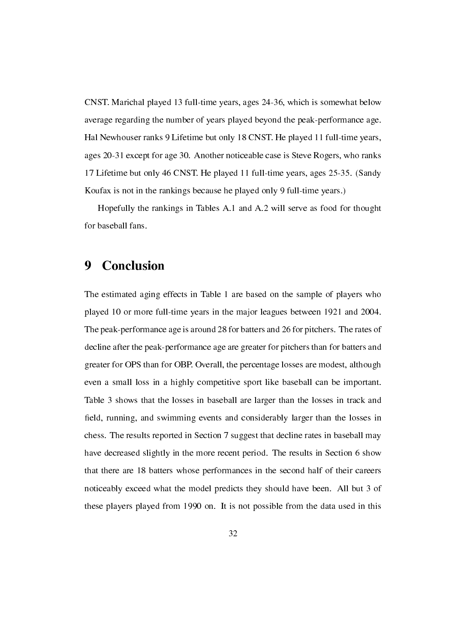CNST. Marichal played 13 full-time years, ages 24-36, which is somewhat below average regarding the number of years played beyond the peak-performance age. Hal Newhouser ranks 9 Lifetime but only 18 CNST. He played 11 full-time years, ages 20-31 except for age 30. Another noticeable case is Steve Rogers, who ranks 17 Lifetime but only 46 CNST. He played 11 full-time years, ages 25-35. (Sandy Koufax is not in the rankings because he played only 9 full-time years.)

Hopefully the rankings in Tables A.1 and A.2 will serve as food for thought for baseball fans.

## 9 Conclusion

The estimated aging effects in Table 1 are based on the sample of players who played 10 or more full-time years in the major leagues between 1921 and 2004. The peak-performance age is around 28 for batters and 26 for pitchers. The rates of decline after the peak-performance age are greater for pitchers than for batters and greater for OPS than for OBP. Overall, the percentage losses are modest, although even a small loss in a highly competitive sport like baseball can be important. Table 3 shows that the losses in baseball are larger than the losses in track and field, running, and swimming events and considerably larger than the losses in chess. The results reported in Section 7 suggest that decline rates in baseball may have decreased slightly in the more recent period. The results in Section 6 show that there are 18 batters whose performances in the second half of their careers noticeably exceed what the model predicts they should have been. All but 3 of these players played from 1990 on. It is not possible from the data used in this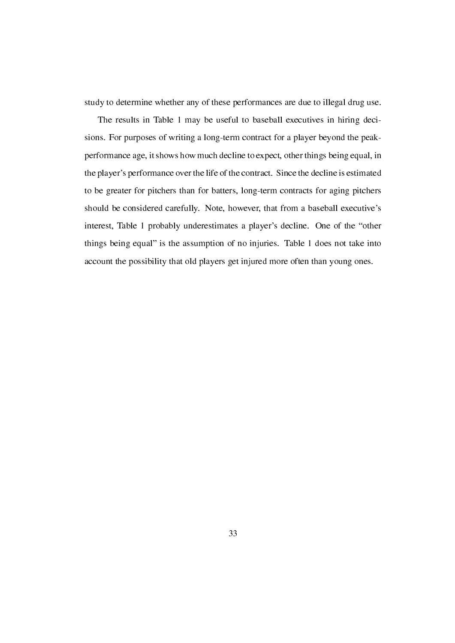study to determine whether any of these performances are due to illegal drug use.

The results in Table 1 may be useful to baseball executives in hiring decisions. For purposes of writing a long-term contract for a player beyond the peakperformance age, it shows how much decline to expect, other things being equal, in the player's performance over the life of the contract. Since the decline is estimated to be greater for pitchers than for batters, long-term contracts for aging pitchers should be considered carefully. Note, however, that from a baseball executive's interest, Table 1 probably underestimates a player's decline. One of the "other things being equal" is the assumption of no injuries. Table 1 does not take into account the possibility that old players get injured more often than young ones.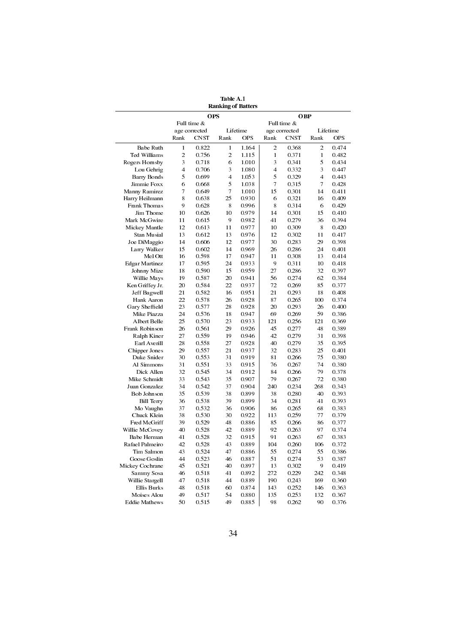| <b>OPS</b><br><b>OBP</b><br>Full time &<br>Full time &<br>Lifetime<br>Lifetime<br>age corrected<br>age corrected<br><b>OPS</b><br>CNST<br>Rank<br>Rank<br>CNST<br>Rank<br>Rank<br>$\overline{c}$<br>Babe Ruth<br>$\mathbf{1}$<br>0.822<br>$\mathbf{1}$<br>1.164<br>2<br>0.368<br>Ted Williams<br>2<br>0.756<br>2<br>1.115<br>1<br>0.371<br>1<br>6 |                |
|---------------------------------------------------------------------------------------------------------------------------------------------------------------------------------------------------------------------------------------------------------------------------------------------------------------------------------------------------|----------------|
|                                                                                                                                                                                                                                                                                                                                                   |                |
|                                                                                                                                                                                                                                                                                                                                                   |                |
|                                                                                                                                                                                                                                                                                                                                                   |                |
|                                                                                                                                                                                                                                                                                                                                                   | <b>OPS</b>     |
|                                                                                                                                                                                                                                                                                                                                                   | 0.474          |
|                                                                                                                                                                                                                                                                                                                                                   | 0.482          |
| 3<br>3<br>5<br>Rogers Hornsby<br>0.718<br>1.010<br>0.341                                                                                                                                                                                                                                                                                          | 0.434          |
| Lou Gehrig<br>4<br>0.706<br>3<br>4<br>0.332<br>3<br>1.080                                                                                                                                                                                                                                                                                         | 0.447          |
| <b>Barry Bonds</b><br>5<br>4<br>5<br>$\overline{4}$<br>0.699<br>1.053<br>0.329                                                                                                                                                                                                                                                                    | 0.443          |
| 5<br>$\overline{7}$<br>$\tau$<br>Jimmie Foxx<br>6<br>0.315<br>0.668<br>1.038                                                                                                                                                                                                                                                                      | 0.428          |
| 15<br>Manny Ramirez<br>7<br>0.649<br>7<br>1.010<br>0.301<br>14                                                                                                                                                                                                                                                                                    | 0.411          |
| 8<br>25<br>Harry Heilmann<br>0.638<br>0.930<br>6<br>0.321<br>16                                                                                                                                                                                                                                                                                   | 0.409          |
| 9<br>Frank Thomas<br>0.628<br>8<br>0.996<br>8<br>0.314<br>6                                                                                                                                                                                                                                                                                       | 0.429          |
| Jim Thome<br>10<br>10<br>0.979<br>14<br>0.301<br>15<br>0.626                                                                                                                                                                                                                                                                                      | 0.410          |
| 9<br>0.279<br>Mark McGwire<br>0.615<br>0.982<br>41<br>36<br>11                                                                                                                                                                                                                                                                                    | 0.394          |
| 12<br>11<br>0.613<br>0.977<br>10<br>0.309<br>8<br>Mickey Mantle                                                                                                                                                                                                                                                                                   | 0.420          |
| Stan Musial<br>13<br>0.612<br>13<br>0.976<br>12<br>0.302<br>11                                                                                                                                                                                                                                                                                    | 0.417          |
| Joe DiMaggio<br>14<br>0.606<br>12<br>0.977<br>30<br>0.283<br>29                                                                                                                                                                                                                                                                                   | 0.398          |
| Larry Walker<br>15<br>0.602<br>14<br>0.969<br>26<br>0.286<br>24                                                                                                                                                                                                                                                                                   | 0.401          |
| 16<br>0.598<br>17<br>0.308<br>Mel Ott<br>0.947<br>11<br>13                                                                                                                                                                                                                                                                                        | 0.414          |
| 24<br>9<br><b>Edgar Martinez</b><br>17<br>0.595<br>0.933<br>0.311<br>10                                                                                                                                                                                                                                                                           | 0.418          |
| 27<br>0.286<br>32<br>Johnny Mize<br>18<br>0.590<br>15<br>0.959                                                                                                                                                                                                                                                                                    | 0.397          |
| Willie Mays<br>19<br>0.587<br>20<br>56<br>0.274<br>62<br>0.941                                                                                                                                                                                                                                                                                    | 0.384          |
| Ken Griffey Jr.<br>20<br>0.584<br>22<br>0.937<br>72<br>0.269<br>85                                                                                                                                                                                                                                                                                | 0.377          |
| 21<br>Jeff Bagwell<br>21<br>0.582<br>16<br>0.293<br>18<br>0.951                                                                                                                                                                                                                                                                                   | 0.408          |
| Hank Aaron<br>22<br>0.578<br>26<br>0.928<br>87<br>0.265<br>100                                                                                                                                                                                                                                                                                    | 0.374          |
| Gary Sheffield<br>23<br>0.577<br>28<br>20<br>0.293<br>26<br>0.928                                                                                                                                                                                                                                                                                 | 0.400          |
| Mike Piazza<br>24<br>0.576<br>18<br>0.947<br>69<br>0.269<br>59                                                                                                                                                                                                                                                                                    | 0.386          |
| 23<br>Albert Belle<br>25<br>0.570<br>0.933<br>121<br>0.256<br>121                                                                                                                                                                                                                                                                                 | 0.369          |
| 0.561<br>48<br>Frank Robinson<br>26<br>29<br>0.926<br>45<br>0.277                                                                                                                                                                                                                                                                                 | 0.389          |
| Ralph Kiner<br>27<br>0.559<br>19<br>0.946<br>42<br>0.279<br>31                                                                                                                                                                                                                                                                                    | 0.398          |
| 27<br>Earl Averill<br>28<br>0.558<br>40<br>0.279<br>35<br>0.928                                                                                                                                                                                                                                                                                   | 0.395          |
| 29<br>21<br>32<br>0.283<br>25<br>Chipper Jones<br>0.557<br>0.937                                                                                                                                                                                                                                                                                  | 0.401          |
| Duke Snider<br>30<br>0.553<br>31<br>0.919<br>81<br>0.266<br>75                                                                                                                                                                                                                                                                                    | 0.380          |
| 31<br>33<br>Al Simmons<br>0.551<br>0.915<br>76<br>0.267<br>74                                                                                                                                                                                                                                                                                     | 0.380          |
| Dick Allen<br>32<br>0.545<br>34<br>0.912<br>84<br>79<br>0.266                                                                                                                                                                                                                                                                                     | 0.378          |
| Mike Schmidt<br>33<br>0.543<br>35<br>0.907<br>79<br>72<br>0.267                                                                                                                                                                                                                                                                                   | 0.380          |
| 240<br>Juan Gonzalez<br>34<br>37<br>0.904<br>0.234<br>268<br>0.542                                                                                                                                                                                                                                                                                | 0.343          |
| Bob Johnson<br>35<br>0.539<br>38<br>0.899<br>38<br>0.280<br>40                                                                                                                                                                                                                                                                                    | 0.393          |
| 36<br>0.538<br>39<br>0.899<br>34<br>0.281<br><b>Bill Terry</b><br>41                                                                                                                                                                                                                                                                              | 0.393          |
| Mo Vaughn<br>37<br>0.532<br>36<br>0.906<br>0.265<br>68<br>86                                                                                                                                                                                                                                                                                      | 0.383          |
| 77<br>Chuck Klein<br>38<br>30<br>113<br>0.259<br>0.530<br>0.922                                                                                                                                                                                                                                                                                   | 0.379          |
| Fred McGriff<br>39<br>0.529<br>48<br>0.886<br>85<br>0.266<br>86                                                                                                                                                                                                                                                                                   | 0.377          |
| 40<br>0.528<br>42<br>92<br>0.263<br>97<br>Willie McCovey<br>0.889                                                                                                                                                                                                                                                                                 | 0.374          |
| 32<br>41<br>0.528<br>91<br>67<br>Babe Herman<br>0.915<br>0.263                                                                                                                                                                                                                                                                                    | 0.383          |
| 43<br>104                                                                                                                                                                                                                                                                                                                                         |                |
| 42<br>0.528<br>0.889<br>106<br>Rafael Palmeiro<br>0.260<br>Tim Salmon<br>43<br>0.524<br>47<br>0.886<br>0.274<br>55<br>55                                                                                                                                                                                                                          | 0.372<br>0.386 |
| 0.274<br>Goose Goslin<br>44<br>46<br>51<br>53                                                                                                                                                                                                                                                                                                     | 0.387          |
| 0.523<br>0.887<br>0.521                                                                                                                                                                                                                                                                                                                           | 0.419          |
| Mickey Cochrane<br>45<br>40<br>0.897<br>13<br>0.302<br>9                                                                                                                                                                                                                                                                                          |                |
| Sammy Sosa<br>272<br>0.229<br>46<br>0.518<br>41<br>0.892<br>242                                                                                                                                                                                                                                                                                   | 0.348          |
| Willie Stargell<br>190<br>169<br>47<br>0.518<br>44<br>0.889<br>0.243                                                                                                                                                                                                                                                                              | 0.360          |
| <b>Ellis Burks</b><br>48<br>0.518<br>60<br>0.874<br>143<br>0.252<br>146                                                                                                                                                                                                                                                                           | 0.363          |
| Moises Alou<br>49<br>0.517<br>54<br>0.880<br>135<br>0.253<br>132                                                                                                                                                                                                                                                                                  | 0.367          |
| 49<br>Eddie Mathews<br>50<br>0.515<br>0.885<br>98<br>0.262<br>90                                                                                                                                                                                                                                                                                  | 0.376          |

Table A.1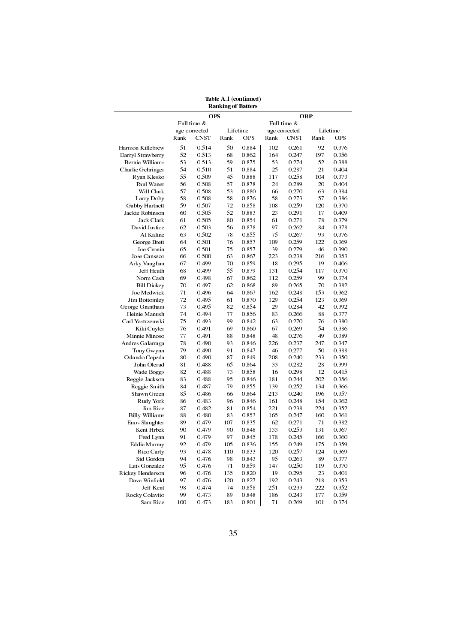|                             |          |               |      | <b>Ranking of Batters</b> |      |                |            |            |  |  |  |  |
|-----------------------------|----------|---------------|------|---------------------------|------|----------------|------------|------------|--|--|--|--|
|                             |          | <b>OPS</b>    |      | OBP                       |      |                |            |            |  |  |  |  |
|                             |          | Full time &   |      |                           |      | Full time &    |            |            |  |  |  |  |
|                             |          | age corrected |      | Lifetime                  |      | age corrected  |            | Lifetime   |  |  |  |  |
|                             | Rank     | <b>CNST</b>   | Rank | <b>OPS</b>                | Rank | CNST           | Rank       | <b>OPS</b> |  |  |  |  |
| Harmon Killebrew            | 51       | 0.514         | 50   | 0.884                     | 102  | 0.261          | 92         | 0.376      |  |  |  |  |
| Darryl Strawberry           | 52       | 0.513         | 68   | 0.862                     | 164  | 0.247          | 197        | 0.356      |  |  |  |  |
| Bernie Williams             | 53       | 0.513         | 59   | 0.875                     | 53   | 0.274          | 52         | 0.388      |  |  |  |  |
| Charlie Gehringer           | 54       | 0.510         | 51   | 0.884                     | 25   | 0.287          | 21         | 0.404      |  |  |  |  |
| Ryan Klesko                 | 55       | 0.509         | 45   | 0.888                     | 117  | 0.258          | 104        | 0.373      |  |  |  |  |
| Paul Waner                  | 56       | 0.508         | 57   | 0.878                     | 24   | 0.289          | 20         | 0.404      |  |  |  |  |
| Will Clark                  | 57       | 0.508         | 53   | 0.880                     | 66   | 0.270          | 63         | 0.384      |  |  |  |  |
| Larry Doby                  | 58       | 0.508         | 58   | 0.876                     | 58   | 0.273          | 57         | 0.386      |  |  |  |  |
| Gabby Hartnett              | 59       | 0.507         | 72   | 0.858                     | 108  | 0.259          | 120        | 0.370      |  |  |  |  |
| Jackie Robinson             | 60       | 0.505         | 52   | 0.883                     | 23   | 0.291          | 17         | 0.409      |  |  |  |  |
| Jack Clark                  | 61       | 0.505         | 80   | 0.854                     | 61   | 0.271          | 78         | 0.379      |  |  |  |  |
| David Justice               | 62       | 0.503         | 56   | 0.878                     | 97   | 0.262          | 84         | 0.378      |  |  |  |  |
| Al Kaline                   | 63       | 0.502         | 78   | 0.855                     | 75   | 0.267          | 93         | 0.376      |  |  |  |  |
| George Brett                | 64       | 0.501         | 76   | 0.857                     | 109  | 0.259          | 122        | 0.369      |  |  |  |  |
| Joe Cronin                  | 65       | 0.501         | 75   | 0.857                     | 39   | 0.279          | 46         | 0.390      |  |  |  |  |
| Jose Canseco                | 66       | 0.500         | 63   | 0.867                     | 223  | 0.238          | 216        | 0.353      |  |  |  |  |
| Arky Vaughan                | 67       | 0.499         | 70   | 0.859                     | 18   | 0.295          | 19         | 0.406      |  |  |  |  |
| Jeff Heath                  | 68       | 0.499         | 55   | 0.879                     | 131  | 0.254          | 117        | 0.370      |  |  |  |  |
| Norm Cash                   | 69       | 0.498         | 67   | 0.862                     | 112  | 0.259          | 99         | 0.374      |  |  |  |  |
| <b>Bill Dickey</b>          | 70       | 0.497         | 62   | 0.868                     | 89   | 0.265          | 70         | 0.382      |  |  |  |  |
| Joe Medwick                 | 71       | 0.496         | 64   | 0.867                     | 162  | 0.248          | 153        | 0.362      |  |  |  |  |
| <b>Jim Bottomley</b>        | 72       | 0.495         | 61   | 0.870                     | 129  | 0.254          | 123        | 0.369      |  |  |  |  |
| George Grantham             | 73       | 0.495         | 82   | 0.854                     | 29   | 0.284          | 42         | 0.392      |  |  |  |  |
| Heinie Manush               | 74       | 0.494         | 77   | 0.856                     | 83   | 0.266          | 88         | 0.377      |  |  |  |  |
| Carl Yastrzemski            | 75       | 0.493         | 99   | 0.842                     | 63   | 0.270          | 76         | 0.380      |  |  |  |  |
| Kiki Cuyler                 | 76       | 0.491         | 69   | 0.860                     | 67   | 0.269          | 54         | 0.386      |  |  |  |  |
| Minnie Minoso               | 77       | 0.491         | 88   | 0.848                     | 48   | 0.276          | 49         | 0.389      |  |  |  |  |
| Andres Galarraga            | 78       | 0.490         | 93   | 0.846                     | 226  | 0.237          | 247        | 0.347      |  |  |  |  |
| Tony Gwynn                  | 79       | 0.490         | 91   | 0.847                     | 46   | 0.277          | 50         | 0.388      |  |  |  |  |
| Orlando Cepeda              | 80       | 0.490         | 87   | 0.849                     | 208  | 0.240          | 233        | 0.350      |  |  |  |  |
| John Olerud                 | 81       | 0.488         | 65   | 0.864                     | 33   | 0.282          | 28         | 0.399      |  |  |  |  |
| Wade Boggs                  | 82       | 0.488         | 73   | 0.858                     | 16   | 0.298          | 12         | 0.415      |  |  |  |  |
| Reggie Jackson              | 83       | 0.488         | 95   | 0.846                     | 181  | 0.244          | 202        | 0.356      |  |  |  |  |
| Reggie Smith                | 84       | 0.487         | 79   | 0.855                     | 139  | 0.252          | 134        | 0.366      |  |  |  |  |
| Shawn Green                 | 85       | 0.486         | 66   | 0.864                     | 213  | 0.240          | 196        | 0.357      |  |  |  |  |
| Rudy York                   | 86       | 0.483         | 96   | 0.846                     | 161  | 0.248          | 154        | 0.362      |  |  |  |  |
| Jim Rice                    | 87       | 0.482         | 81   | 0.854                     | 221  | 0.238          | 224        | 0.352      |  |  |  |  |
| <b>Billy Williams</b>       | 88       | 0.480         | 83   | 0.853                     | 165  | 0.247          | 160        | 0.361      |  |  |  |  |
| Enos Slaughter              | 89       | 0.479         | 107  | 0.835                     | 62   | 0.271          | 71         | 0.382      |  |  |  |  |
| Kent Hrbek                  | 90       | 0.479         | 90   | 0.848                     | 133  | 0.253          | 131        | 0.367      |  |  |  |  |
| Fred Lynn                   | 91       | 0.479         | 97   | 0.845                     | 178  | 0.245          | 166        | 0.360      |  |  |  |  |
| <b>Eddie Murray</b>         | 92       | 0.479         | 105  | 0.836                     | 155  | 0.249          | 175        | 0.359      |  |  |  |  |
| Rico Carty                  | 93       | 0.478         | 110  | 0.833                     | 120  | 0.257          | 124        | 0.369      |  |  |  |  |
| Sid Gordon                  | 94       | 0.476         | 98   | 0.843                     | 95   |                | 89         | 0.377      |  |  |  |  |
| Luis Gonzalez               | 95       | 0.476         | 71   | 0.859                     | 147  | 0.263<br>0.250 | 119        | 0.370      |  |  |  |  |
| Rickey Henderson            |          |               |      |                           |      |                |            |            |  |  |  |  |
| Dave Winfield               | 96       | 0.476         | 135  | 0.820                     | 19   | 0.295<br>0.243 | 23         | 0.401      |  |  |  |  |
|                             | 97       | 0.476         | 120  | 0.827                     | 192  |                | 218<br>222 | 0.353      |  |  |  |  |
| Jeff Kent<br>Rocky Colavito | 98<br>99 | 0.474         | 74   | 0.858                     | 251  | 0.233          |            | 0.352      |  |  |  |  |
|                             |          | 0.473         | 89   | 0.848                     | 186  | 0.243          | 177        | 0.359      |  |  |  |  |
| Sam Rice                    | 100      | 0.473         | 183  | 0.801                     | 71   | 0.269          | 101        | 0.374      |  |  |  |  |

Table A.1 (continued)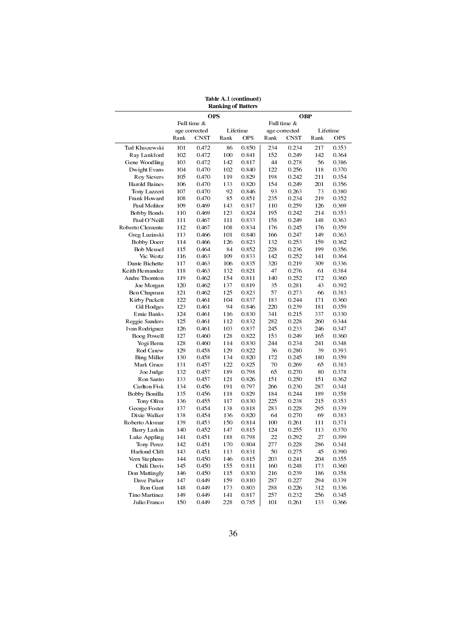| <b>Ranking of Batters</b> |      |               |      |            |      |               |      |            |
|---------------------------|------|---------------|------|------------|------|---------------|------|------------|
|                           |      | OPS           |      |            |      | <b>OBP</b>    |      |            |
|                           |      | Full time &   |      |            |      | Full time &   |      |            |
|                           |      | age corrected |      | Lifetime   |      | age corrected |      | Lifetime   |
|                           | Rank | <b>CNST</b>   | Rank | <b>OPS</b> | Rank | CNST          | Rank | <b>OPS</b> |
| Ted Kluszewski            | 101  | 0.472         | 86   | 0.850      | 234  | 0.234         | 217  | 0.353      |
| Ray Lankford              | 102  | 0.472         | 100  | 0.841      | 152  | 0.249         | 142  | 0.364      |
| Gene Woodling             | 103  | 0.472         | 142  | 0.817      | 44   | 0.278         | 56   | 0.386      |
| Dwight Evans              | 104  | 0.470         | 102  | 0.840      | 122  | 0.256         | 118  | 0.370      |
| Roy Sievers               | 105  | 0.470         | 119  | 0.829      | 198  | 0.242         | 211  | 0.354      |
| <b>Harold Baines</b>      | 106  | 0.470         | 133  | 0.820      | 154  | 0.249         | 201  | 0.356      |
| Tony Lazzeri              | 107  | 0.470         | 92   | 0.846      | 93   | 0.263         | 73   | 0.380      |
| Frank Howard              | 108  | 0.470         | 85   | 0.851      | 235  | 0.234         | 219  | 0.352      |
| Paul Molitor              | 109  | 0.469         | 143  | 0.817      | 110  | 0.259         | 126  | 0.369      |
| <b>Bobby Bonds</b>        | 110  | 0.469         | 123  | 0.824      | 195  | 0.242         | 214  | 0.353      |
| Paul O'Neill              | 111  | 0.467         | 111  | 0.833      | 158  | 0.249         | 148  | 0.363      |
| Roberto Clemente          | 112  | 0.467         | 108  | 0.834      | 176  | 0.245         | 176  | 0.359      |
| Greg Luzinski             | 113  | 0.466         | 101  | 0.840      | 166  | 0.247         | 149  | 0.363      |
| <b>Bobby Doerr</b>        | 114  | 0.466         | 126  | 0.823      | 132  | 0.253         | 159  | 0.362      |
| <b>Bob Meusel</b>         | 115  | 0.464         | 84   | 0.852      | 228  | 0.236         | 199  | 0.356      |
| Vic Wertz                 | 116  | 0.463         | 109  | 0.833      | 142  | 0.252         | 141  | 0.364      |
| Dante Bichette            | 117  | 0.463         | 106  | 0.835      | 320  | 0.219         | 309  | 0.336      |
| Keith Hernandez           | 118  | 0.463         | 132  | 0.821      | 47   | 0.276         | 61   | 0.384      |
| Andre Thornton            | 119  | 0.462         | 154  | 0.811      | 140  | 0.252         | 172  | 0.360      |
| Joe Morgan                | 120  | 0.462         | 137  | 0.819      | 35   | 0.281         | 43   | 0.392      |
| Ben Chapman               | 121  | 0.462         | 125  | 0.823      | 57   | 0.273         | 66   | 0.383      |
| Kirby Puckett             | 122  | 0.461         | 104  | 0.837      | 183  | 0.244         | 171  | 0.360      |
| Gil Hodges                | 123  | 0.461         | 94   | 0.846      | 220  | 0.239         | 181  | 0.359      |
| Ernie Banks               | 124  | 0.461         | 116  | 0.830      | 341  | 0.215         | 337  | 0.330      |
| Reggie Sanders            | 125  | 0.461         | 112  | 0.832      | 282  | 0.228         | 260  | 0.344      |
| Ivan Rodriguez            | 126  | 0.461         | 103  | 0.837      | 245  | 0.233         | 246  | 0.347      |
| Boog Powell               | 127  | 0.460         | 128  | 0.822      | 153  | 0.249         | 165  | 0.360      |
| Yogi Berra                | 128  | 0.460         | 114  | 0.830      | 244  | 0.234         | 241  | 0.348      |
| Rod Carew                 | 129  | 0.458         | 129  | 0.822      | 36   | 0.280         | 39   | 0.393      |
| Bing Miller               | 130  | 0.458         | 134  | 0.820      | 172  | 0.245         | 180  | 0.359      |
| Mark Grace                | 131  | 0.457         | 122  | 0.825      | 70   | 0.269         | 65   | 0.383      |
| Joe Judge                 | 132  | 0.457         | 189  | 0.798      | 65   | 0.270         | 80   | 0.378      |
| Ron Santo                 | 133  | 0.457         | 121  | 0.826      | 151  | 0.250         | 151  | 0.362      |
| Carlton Fisk              | 134  | 0.456         | 191  | 0.797      | 266  | 0.230         | 287  | 0.341      |
| Bobby Bonilla             | 135  | 0.456         | 118  | 0.829      | 184  | 0.244         | 189  | 0.358      |
| Tony Oliva                | 136  | 0.455         | 117  | 0.830      | 225  | 0.238         | 215  | 0.353      |
| George Foster             | 137  | 0.454         | 138  | 0.818      | 283  | 0.228         | 295  | 0.339      |
| Dixie Walker              | 138  | 0.454         | 136  | 0.820      | 64   | 0.270         | 69   | 0.383      |
| Roberto Alomar            | 139  | 0.453         | 150  | 0.814      | 100  | 0.261         | 111  | 0.371      |
| <b>Barry Larkin</b>       | 140  | 0.452         | 147  | 0.815      | 124  | 0.255         | 113  | 0.370      |
| Luke Appling              | 141  | 0.451         | 188  | 0.798      | 22   | 0.292         | 27   | 0.399      |
| Tony Perez                | 142  | 0.451         | 170  | 0.804      | 277  | 0.228         | 286  | 0.341      |
| Harlond Clift             | 143  | 0.451         | 113  | 0.831      | 50   | 0.275         | 45   | 0.390      |
| Vern Stephens             | 144  | 0.450         | 146  | 0.815      | 203  | 0.241         | 204  | 0.355      |
| Chili Davis               | 145  | 0.450         | 155  | 0.811      | 160  | 0.248         | 173  | 0.360      |
| Don Mattingly             | 146  | 0.450         | 115  | 0.830      | 216  | 0.239         | 186  | 0.358      |
| Dave Parker               | 147  | 0.449         | 159  | 0.810      | 287  | 0.227         | 294  | 0.339      |
| Ron Gant                  | 148  | 0.449         | 173  | 0.803      | 288  | 0.226         | 312  | 0.336      |
| Tino Martinez             | 149  | 0.449         | 141  | 0.817      | 257  | 0.232         | 256  | 0.345      |
| Julio Franco              | 150  | 0.449         | 228  | 0.785      | 101  | 0.261         | 133  | 0.366      |

Table A.1 (continued)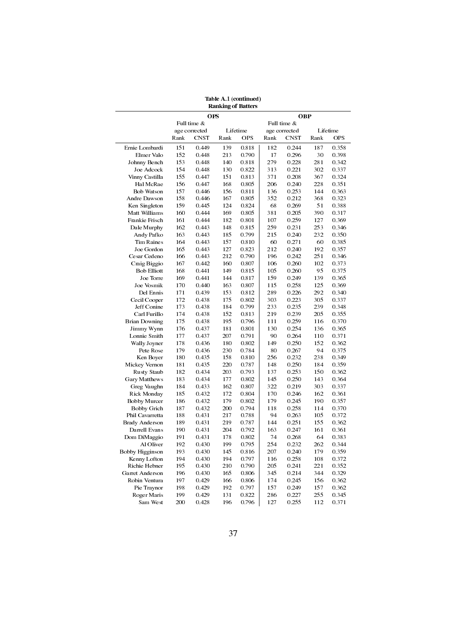| <b>Ranking of Batters</b> |      |               |      |            |      |               |      |            |  |  |  |
|---------------------------|------|---------------|------|------------|------|---------------|------|------------|--|--|--|
|                           |      | <b>OPS</b>    |      |            |      | <b>OBP</b>    |      |            |  |  |  |
|                           |      | Full time &   |      |            |      | Full time &   |      |            |  |  |  |
|                           |      | age corrected |      | Lifetime   |      | age corrected |      | Lifetime   |  |  |  |
|                           | Rank | <b>CNST</b>   | Rank | <b>OPS</b> | Rank | <b>CNST</b>   | Rank | <b>OPS</b> |  |  |  |
| Ernie Lombardi            | 151  | 0.449         | 139  | 0.818      | 182  | 0.244         | 187  | 0.358      |  |  |  |
| Elmer Valo                | 152  | 0.448         | 213  | 0.790      | 17   | 0.296         | 30   | 0.398      |  |  |  |
| Johnny Bench              | 153  | 0.448         | 140  | 0.818      | 279  | 0.228         | 281  | 0.342      |  |  |  |
| Joe Adcock                | 154  | 0.448         | 130  | 0.822      | 313  | 0.221         | 302  | 0.337      |  |  |  |
| Vinny Castilla            | 155  | 0.447         | 151  | 0.813      | 371  | 0.208         | 367  | 0.324      |  |  |  |
| Hal McRae                 | 156  | 0.447         | 168  | 0.805      | 206  | 0.240         | 228  | 0.351      |  |  |  |
| Bob Watson                | 157  | 0.446         | 156  | 0.811      | 136  | 0.253         | 144  | 0.363      |  |  |  |
| Andre Dawson              | 158  | 0.446         | 167  | 0.805      | 352  | 0.212         | 368  | 0.323      |  |  |  |
| Ken Singleton             | 159  | 0.445         | 124  | 0.824      | 68   | 0.269         | 51   | 0.388      |  |  |  |
| Matt Williams             | 160  | 0.444         | 169  | 0.805      | 381  | 0.205         | 390  | 0.317      |  |  |  |
| Frankie Frisch            | 161  | 0.444         | 182  | 0.801      | 107  | 0.259         | 127  | 0.369      |  |  |  |
| Dale Murphy               | 162  | 0.443         | 148  | 0.815      | 259  | 0.231         | 253  | 0.346      |  |  |  |
| Andy Pafko                | 163  | 0.443         | 185  | 0.799      | 215  | 0.240         | 232  | 0.350      |  |  |  |
| Tim Raines                |      |               |      |            |      |               |      |            |  |  |  |
|                           | 164  | 0.443         | 157  | 0.810      | 60   | 0.271         | 60   | 0.385      |  |  |  |
| Joe Gordon                | 165  | 0.443         | 127  | 0.823      | 212  | 0.240         | 192  | 0.357      |  |  |  |
| Cesar Cedeno              | 166  | 0.443         | 212  | 0.790      | 196  | 0.242         | 251  | 0.346      |  |  |  |
| Craig Biggio              | 167  | 0.442         | 160  | 0.807      | 106  | 0.260         | 102  | 0.373      |  |  |  |
| <b>Bob Elliott</b>        | 168  | 0.441         | 149  | 0.815      | 105  | 0.260         | 95   | 0.375      |  |  |  |
| Joe Torre                 | 169  | 0.441         | 144  | 0.817      | 159  | 0.249         | 139  | 0.365      |  |  |  |
| Joe Vosmik                | 170  | 0.440         | 163  | 0.807      | 115  | 0.258         | 125  | 0.369      |  |  |  |
| Del Ennis                 | 171  | 0.439         | 153  | 0.812      | 289  | 0.226         | 292  | 0.340      |  |  |  |
| Cecil Cooper              | 172  | 0.438         | 175  | 0.802      | 303  | 0.223         | 305  | 0.337      |  |  |  |
| Jeff Conine               | 173  | 0.438         | 184  | 0.799      | 233  | 0.235         | 239  | 0.348      |  |  |  |
| Carl Furillo              | 174  | 0.438         | 152  | 0.813      | 219  | 0.239         | 205  | 0.355      |  |  |  |
| <b>Brian Downing</b>      | 175  | 0.438         | 195  | 0.796      | 111  | 0.259         | 116  | 0.370      |  |  |  |
| Jimmy Wynn                | 176  | 0.437         | 181  | 0.801      | 130  | 0.254         | 136  | 0.365      |  |  |  |
| Lonnie Smith              | 177  | 0.437         | 207  | 0.791      | 90   | 0.264         | 110  | 0.371      |  |  |  |
| Wally Joyner              | 178  | 0.436         | 180  | 0.802      | 149  | 0.250         | 152  | 0.362      |  |  |  |
| Pete Rose                 | 179  | 0.436         | 230  | 0.784      | 80   | 0.267         | 94   | 0.375      |  |  |  |
| Ken Boyer                 | 180  | 0.435         | 158  | 0.810      | 256  | 0.232         | 238  | 0.349      |  |  |  |
| Mickey Vernon             | 181  | 0.435         | 220  | 0.787      | 148  | 0.250         | 184  | 0.359      |  |  |  |
| Rusty Staub               | 182  | 0.434         | 203  | 0.793      | 137  | 0.253         | 150  | 0.362      |  |  |  |
| Gary Matthews             | 183  | 0.434         | 177  | 0.802      | 145  | 0.250         | 143  | 0.364      |  |  |  |
| Greg Vaughn               | 184  | 0.433         | 162  | 0.807      | 322  | 0.219         | 303  | 0.337      |  |  |  |
| Rick Monday               | 185  | 0.432         | 172  | 0.804      | 170  | 0.246         | 162  | 0.361      |  |  |  |
| <b>Bobby Murcer</b>       | 186  | 0.432         | 179  | 0.802      | 179  | 0.245         | 190  | 0.357      |  |  |  |
| Bobby Grich               | 187  | 0.432         | 200  | 0.794      | 118  | 0.258         | 114  | 0.370      |  |  |  |
| Phil Cavarretta           | 188  | 0.431         | 217  | 0.788      | 94   | 0.263         | 105  | 0.372      |  |  |  |
| Brady Anderson            | 189  | 0.431         | 219  | 0.787      | 144  | 0.251         | 155  | 0.362      |  |  |  |
| Darrell Evans             | 190  | 0.431         | 204  | 0.792      | 163  | 0.247         | 161  | 0.361      |  |  |  |
| Dom DiMaggio              | 191  | 0.431         | 178  | 0.802      | 74   | 0.268         | 64   | 0.383      |  |  |  |
| Al Oliver                 | 192  | 0.430         | 199  | 0.795      | 254  | 0.232         | 262  | 0.344      |  |  |  |
| Bobby Higginson           | 193  | 0.430         | 145  | 0.816      | 207  | 0.240         | 179  | 0.359      |  |  |  |
| Kenny Lofton              | 194  | 0.430         | 194  | 0.797      | 116  | 0.258         | 108  | 0.372      |  |  |  |
| Richie Hebner             | 195  | 0.430         | 210  | 0.790      | 205  | 0.241         | 221  | 0.352      |  |  |  |
|                           |      |               |      |            |      |               |      |            |  |  |  |
| Garret Anderson           | 196  | 0.430         | 165  | 0.806      | 345  | 0.214         | 344  | 0.329      |  |  |  |
| Robin Ventura             | 197  | 0.429         | 166  | 0.806      | 174  | 0.245         | 156  | 0.362      |  |  |  |
| Pie Traynor               | 198  | 0.429         | 192  | 0.797      | 157  | 0.249         | 157  | 0.362      |  |  |  |
| Roger Maris               | 199  | 0.429         | 131  | 0.822      | 286  | 0.227         | 255  | 0.345      |  |  |  |
| Sam West                  | 200  | 0.428         | 196  | 0.796      | 127  | 0.255         | 112  | 0.371      |  |  |  |
|                           |      |               |      |            |      |               |      |            |  |  |  |

Table A.1 (continued)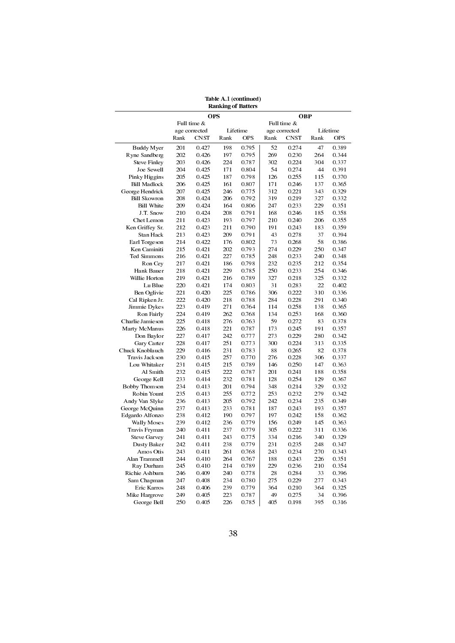| <b>Ranking of Batters</b> |      |               |      |            |      |               |      |            |  |  |  |  |
|---------------------------|------|---------------|------|------------|------|---------------|------|------------|--|--|--|--|
|                           |      | <b>OPS</b>    |      |            |      | <b>OBP</b>    |      |            |  |  |  |  |
|                           |      | Full time &   |      |            |      | Full time &   |      |            |  |  |  |  |
|                           |      | age corrected |      | Lifetime   |      | age corrected |      | Lifetime   |  |  |  |  |
|                           | Rank | <b>CNST</b>   | Rank | <b>OPS</b> | Rank | <b>CNST</b>   | Rank | <b>OPS</b> |  |  |  |  |
| Buddy Myer                | 201  | 0.427         | 198  | 0.795      | 52   | 0.274         | 47   | 0.389      |  |  |  |  |
| Ryne Sandberg             | 202  | 0.426         | 197  | 0.795      | 269  | 0.230         | 264  | 0.344      |  |  |  |  |
| <b>Steve Finley</b>       | 203  | 0.426         | 224  | 0.787      | 302  | 0.224         | 304  | 0.337      |  |  |  |  |
| Joe Sewell                | 204  | 0.425         | 171  | 0.804      | 54   | 0.274         | 44   | 0.391      |  |  |  |  |
| Pinky Higgins             | 205  | 0.425         | 187  | 0.798      | 126  | 0.255         | 115  | 0.370      |  |  |  |  |
| <b>Bill Madlock</b>       | 206  | 0.425         | 161  | 0.807      | 171  | 0.246         | 137  | 0.365      |  |  |  |  |
| George Hendrick           | 207  | 0.425         | 246  | 0.775      | 312  | 0.221         | 343  | 0.329      |  |  |  |  |
| <b>Bill Skowron</b>       | 208  | 0.424         | 206  | 0.792      | 319  | 0.219         | 327  | 0.332      |  |  |  |  |
| Bill White                | 209  | 0.424         | 164  | 0.806      | 247  | 0.233         | 229  | 0.351      |  |  |  |  |
| J.T. Snow                 | 210  | 0.424         | 208  | 0.791      | 168  | 0.246         | 185  | 0.358      |  |  |  |  |
| Chet Lemon                | 211  | 0.423         | 193  | 0.797      | 210  | 0.240         | 206  | 0.355      |  |  |  |  |
| Ken Griffey Sr.           | 212  | 0.423         | 211  | 0.790      | 191  | 0.243         | 183  | 0.359      |  |  |  |  |
|                           | 213  | 0.423         | 209  | 0.791      | 43   | 0.278         | 37   | 0.394      |  |  |  |  |
| Stan Hack                 |      |               |      |            |      |               |      |            |  |  |  |  |
| Earl Torgeson             | 214  | 0.422         | 176  | 0.802      | 73   | 0.268         | 58   | 0.386      |  |  |  |  |
| Ken Caminiti              | 215  | 0.421         | 202  | 0.793      | 274  | 0.229         | 250  | 0.347      |  |  |  |  |
| Ted Simmons               | 216  | 0.421         | 227  | 0.785      | 248  | 0.233         | 240  | 0.348      |  |  |  |  |
| Ron Cey                   | 217  | 0.421         | 186  | 0.798      | 232  | 0.235         | 212  | 0.354      |  |  |  |  |
| Hank Bauer                | 218  | 0.421         | 229  | 0.785      | 250  | 0.233         | 254  | 0.346      |  |  |  |  |
| Willie Horton             | 219  | 0.421         | 216  | 0.789      | 327  | 0.218         | 325  | 0.332      |  |  |  |  |
| Lu Blue                   | 220  | 0.421         | 174  | 0.803      | 31   | 0.283         | 22   | 0.402      |  |  |  |  |
| Ben Oglivie               | 221  | 0.420         | 225  | 0.786      | 306  | 0.222         | 310  | 0.336      |  |  |  |  |
| Cal Ripken Jr.            | 222  | 0.420         | 218  | 0.788      | 284  | 0.228         | 291  | 0.340      |  |  |  |  |
| Jimmie Dykes              | 223  | 0.419         | 271  | 0.764      | 114  | 0.258         | 138  | 0.365      |  |  |  |  |
| Ron Fairly                | 224  | 0.419         | 262  | 0.768      | 134  | 0.253         | 168  | 0.360      |  |  |  |  |
| Charlie Jamieson          | 225  | 0.418         | 276  | 0.763      | 59   | 0.272         | 83   | 0.378      |  |  |  |  |
| Marty McManus             | 226  | 0.418         | 221  | 0.787      | 173  | 0.245         | 191  | 0.357      |  |  |  |  |
| Don Baylor                | 227  | 0.417         | 242  | 0.777      | 273  | 0.229         | 280  | 0.342      |  |  |  |  |
| Gary Carter               | 228  | 0.417         | 251  | 0.773      | 300  | 0.224         | 313  | 0.335      |  |  |  |  |
| Chuck Knoblauch           | 229  | 0.416         | 231  | 0.783      | 88   | 0.265         | 82   | 0.378      |  |  |  |  |
| Travis Jackson            | 230  | 0.415         | 257  | 0.770      | 276  | 0.228         | 306  | 0.337      |  |  |  |  |
| Lou Whitaker              | 231  | 0.415         | 215  | 0.789      | 146  | 0.250         | 147  | 0.363      |  |  |  |  |
| Al Smith                  | 232  | 0.415         | 222  | 0.787      | 201  | 0.241         | 188  | 0.358      |  |  |  |  |
| George Kell               | 233  | 0.414         | 232  | 0.781      | 128  | 0.254         | 129  | 0.367      |  |  |  |  |
|                           |      |               |      |            |      |               |      |            |  |  |  |  |
| Bobby Thomson             | 234  | 0.413         | 201  | 0.794      | 348  | 0.214         | 329  | 0.332      |  |  |  |  |
| Robin Yount               | 235  | 0.413         | 255  | 0.772      | 253  | 0.232         | 279  | 0.342      |  |  |  |  |
| Andy Van Slyke            | 236  | 0.413         | 205  | 0.792      | 242  | 0.234         | 235  | 0.349      |  |  |  |  |
| George McQuinn            | 237  | 0.413         | 233  | 0.781      | 187  | 0.243         | 193  | 0.357      |  |  |  |  |
| Edgardo Alfonzo           | 238  | 0.412         | 190  | 0.797      | 197  | 0.242         | 158  | 0.362      |  |  |  |  |
| Wally Moses               | 239  | 0.412         | 236  | 0.779      | 156  | 0.249         | 145  | 0.363      |  |  |  |  |
| Travis Fryman             | 240  | 0.411         | 237  | 0.779      | 305  | 0.222         | 311  | 0.336      |  |  |  |  |
| <b>Steve Garvey</b>       | 241  | 0.411         | 243  | 0.775      | 334  | 0.216         | 340  | 0.329      |  |  |  |  |
| Dusty Baker               | 242  | 0.411         | 238  | 0.779      | 231  | 0.235         | 248  | 0.347      |  |  |  |  |
| Amos Otis                 | 243  | 0.411         | 261  | 0.768      | 243  | 0.234         | 270  | 0.343      |  |  |  |  |
| Alan Trammell             | 244  | 0.410         | 264  | 0.767      | 188  | 0.243         | 226  | 0.351      |  |  |  |  |
| Ray Durham                | 245  | 0.410         | 214  | 0.789      | 229  | 0.236         | 210  | 0.354      |  |  |  |  |
| Richie Ashburn            | 246  | 0.409         | 240  | 0.778      | 28   | 0.284         | 33   | 0.396      |  |  |  |  |
| Sam Chapman               | 247  | 0.408         | 234  | 0.780      | 275  | 0.229         | 277  | 0.343      |  |  |  |  |
| Eric Karros               | 248  | 0.406         | 239  | 0.779      | 364  | 0.210         | 364  | 0.325      |  |  |  |  |
| Mike Hargrove             | 249  | 0.405         | 223  | 0.787      | 49   | 0.275         | 34   | 0.396      |  |  |  |  |
| George Bell               | 250  | 0.405         | 226  | 0.785      | 405  | 0.198         | 395  | 0.316      |  |  |  |  |
|                           |      |               |      |            |      |               |      |            |  |  |  |  |
|                           |      |               |      |            |      |               |      |            |  |  |  |  |

Table A.1 (continued)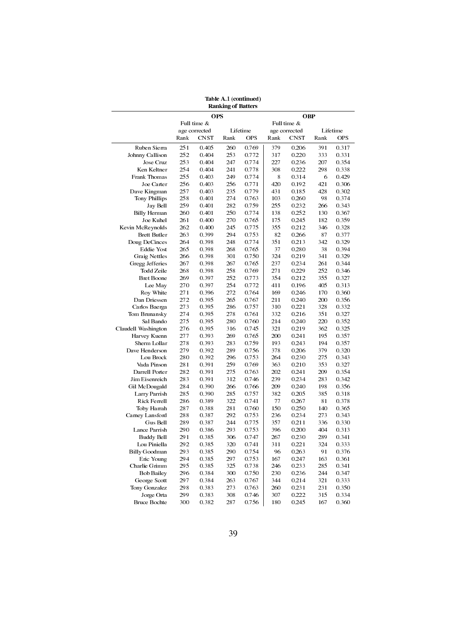| <b>Ranking of Batters</b> |      |               |      |          |            |               |      |            |  |  |  |
|---------------------------|------|---------------|------|----------|------------|---------------|------|------------|--|--|--|
|                           |      | <b>OPS</b>    |      |          | <b>OBP</b> |               |      |            |  |  |  |
|                           |      | Full time &   |      |          |            | Full time &   |      |            |  |  |  |
|                           |      | age corrected |      | Lifetime |            | age corrected |      | Lifetime   |  |  |  |
|                           | Rank | CNST          | Rank | OPS      | Rank       | CNST          | Rank | <b>OPS</b> |  |  |  |
| Ruben Sierra              | 251  | 0.405         | 260  | 0.769    | 379        | 0.206         | 391  | 0.317      |  |  |  |
| Johnny Callison           | 252  | 0.404         | 253  | 0.772    | 317        | 0.220         | 333  | 0.331      |  |  |  |
| Jose Cruz                 | 253  | 0.404         | 247  | 0.774    | 227        | 0.236         | 207  | 0.354      |  |  |  |
| Ken Keltner               | 254  | 0.404         | 241  | 0.778    | 308        | 0.222         | 298  | 0.338      |  |  |  |
| Frank Thomas              | 255  | 0.403         | 249  | 0.774    | 8          | 0.314         | 6    | 0.429      |  |  |  |
| Joe Carter                | 256  | 0.403         | 256  | 0.771    | 420        | 0.192         | 421  | 0.306      |  |  |  |
| Dave Kingman              | 257  | 0.403         | 235  | 0.779    | 431        | 0.185         | 428  | 0.302      |  |  |  |
| Tony Phillips             | 258  | 0.401         | 274  | 0.763    | 103        | 0.260         | 98   | 0.374      |  |  |  |
| Jay Bell                  | 259  | 0.401         | 282  | 0.759    | 255        | 0.232         | 266  | 0.343      |  |  |  |
| <b>Billy Herman</b>       | 260  | 0.401         | 250  | 0.774    | 138        | 0.252         | 130  | 0.367      |  |  |  |
| Joe Kuhel                 | 261  | 0.400         | 270  | 0.765    | 175        | 0.245         | 182  | 0.359      |  |  |  |
| Kevin McReynolds          | 262  | 0.400         | 245  | 0.775    | 355        | 0.212         | 346  | 0.328      |  |  |  |
| <b>Brett Butler</b>       | 263  | 0.399         | 294  | 0.753    | 82         | 0.266         | 87   | 0.377      |  |  |  |
| Doug DeCinces             | 264  | 0.398         | 248  | 0.774    | 351        | 0.213         | 342  | 0.329      |  |  |  |
| <b>Eddie Yost</b>         | 265  | 0.398         | 268  | 0.765    | 37         | 0.280         | 38   | 0.394      |  |  |  |
| Graig Nettles             | 266  | 0.398         | 301  | 0.750    | 324        | 0.219         | 341  | 0.329      |  |  |  |
| Gregg Jefferies           | 267  | 0.398         | 267  | 0.765    | 237        | 0.234         | 261  | 0.344      |  |  |  |
| Todd Zeile                | 268  | 0.398         | 258  | 0.769    | 271        | 0.229         | 252  | 0.346      |  |  |  |
| <b>Bret Boone</b>         | 269  | 0.397         | 252  | 0.773    | 354        | 0.212         | 355  | 0.327      |  |  |  |
| Lee May                   | 270  | 0.397         | 254  | 0.772    | 411        | 0.196         | 405  | 0.313      |  |  |  |
| Roy White                 | 271  | 0.396         | 272  | 0.764    | 169        | 0.246         | 170  | 0.360      |  |  |  |
| Dan Driessen              | 272  | 0.395         | 265  | 0.767    | 211        | 0.240         | 200  | 0.356      |  |  |  |
| Carlos Baerga             | 273  | 0.395         | 286  | 0.757    | 310        | 0.221         | 328  | 0.332      |  |  |  |
| Tom Brunansky             | 274  | 0.395         | 278  | 0.761    | 332        | 0.216         | 351  | 0.327      |  |  |  |
| Sal Bando                 | 275  | 0.395         | 280  | 0.760    | 214        | 0.240         | 220  | 0.352      |  |  |  |
| Claudell Washington       | 276  | 0.395         | 316  | 0.745    | 321        | 0.219         | 362  | 0.325      |  |  |  |
| Harvey Kuenn              | 277  | 0.393         | 269  | 0.765    | 200        | 0.241         | 195  | 0.357      |  |  |  |
| Sherm Lollar              | 278  | 0.393         | 283  | 0.759    | 193        | 0.243         | 194  | 0.357      |  |  |  |
| Dave Henderson            | 279  | 0.392         | 289  | 0.756    | 378        | 0.206         | 379  | 0.320      |  |  |  |
| Lou Brock                 | 280  | 0.392         | 296  | 0.753    | 264        | 0.230         | 275  | 0.343      |  |  |  |
| Vada Pinson               | 281  | 0.391         | 259  | 0.769    | 363        | 0.210         | 353  | 0.327      |  |  |  |
| Darrell Porter            | 282  | 0.391         | 275  | 0.763    | 202        | 0.241         | 209  | 0.354      |  |  |  |
| Jim Eisenreich            | 283  | 0.391         | 312  | 0.746    | 239        | 0.234         | 283  | 0.342      |  |  |  |
| Gil McDougald             | 284  | 0.390         | 266  | 0.766    | 209        | 0.240         | 198  | 0.356      |  |  |  |
| Larry Parrish             | 285  | 0.390         | 285  | 0.757    | 382        | 0.205         | 385  | 0.318      |  |  |  |
| Rick Ferrell              | 286  | 0.389         | 322  | 0.741    | 77         | 0.267         | 81   | 0.378      |  |  |  |
| Toby Harrah               | 287  | 0.388         | 281  | 0.760    | 150        | 0.250         | 140  | 0.365      |  |  |  |
| Carney Lansford           | 288  | 0.387         | 292  | 0.753    | 236        | 0.234         | 273  | 0.343      |  |  |  |
| Gus Bell                  | 289  | 0.387         | 244  | 0.775    | 357        | 0.211         | 336  | 0.330      |  |  |  |
| Lance Parrish             | 290  | 0.386         | 293  | 0.753    | 396        | 0.200         | 404  | 0.313      |  |  |  |
| Buddy Bell                | 291  | 0.385         | 306  | 0.747    | 267        | 0.230         | 289  | 0.341      |  |  |  |
| Lou Piniella              | 292  | 0.385         | 320  | 0.741    | 311        | 0.221         | 324  | 0.333      |  |  |  |
| <b>Billy Goodman</b>      | 293  | 0.385         | 290  | 0.754    | 96         | 0.263         | 91   | 0.376      |  |  |  |
| Eric Young                | 294  | 0.385         | 297  | 0.753    | 167        | 0.247         | 163  | 0.361      |  |  |  |
| Charlie Grimm             | 295  | 0.385         | 325  | 0.738    | 246        | 0.233         | 285  | 0.341      |  |  |  |
| <b>Bob Bailey</b>         | 296  | 0.384         | 300  | 0.750    | 230        | 0.236         | 244  | 0.347      |  |  |  |
| George Scott              | 297  | 0.384         | 263  | 0.767    | 344        | 0.214         | 321  | 0.333      |  |  |  |
| Tony Gonzalez             | 298  | 0.383         | 273  | 0.763    | 260        | 0.231         | 231  | 0.350      |  |  |  |
| Jorge Orta                | 299  | 0.383         | 308  | 0.746    | 307        | 0.222         | 315  | 0.334      |  |  |  |
| Bruce Bochte              | 300  | 0.382         | 287  | 0.756    | 180        | 0.245         | 167  | 0.360      |  |  |  |
|                           |      |               |      |          |            |               |      |            |  |  |  |

Table A.1 (continued)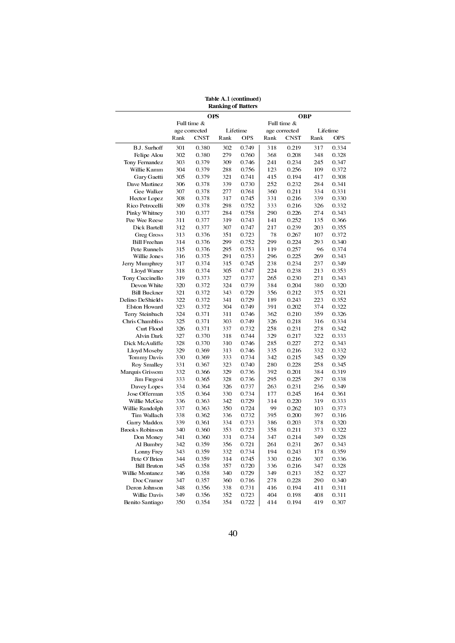| <b>Ranking of Batters</b> |      |               |      |            |            |               |      |            |  |  |  |
|---------------------------|------|---------------|------|------------|------------|---------------|------|------------|--|--|--|
|                           |      | <b>OPS</b>    |      |            | <b>OBP</b> |               |      |            |  |  |  |
|                           |      | Full time &   |      |            |            | Full time &   |      |            |  |  |  |
|                           |      | age corrected |      | Lifetime   |            | age corrected |      | Lifetime   |  |  |  |
|                           | Rank | <b>CNST</b>   | Rank | <b>OPS</b> | Rank       | <b>CNST</b>   | Rank | <b>OPS</b> |  |  |  |
| B.J. Surhoff              | 301  | 0.380         | 302  | 0.749      | 318        | 0.219         | 317  | 0.334      |  |  |  |
| Felipe Alou               | 302  | 0.380         | 279  | 0.760      | 368        | 0.208         | 348  | 0.328      |  |  |  |
| Tony Fernandez            | 303  | 0.379         | 309  | 0.746      | 241        | 0.234         | 245  | 0.347      |  |  |  |
| Willie Kamm               | 304  | 0.379         | 288  | 0.756      | 123        | 0.256         | 109  | 0.372      |  |  |  |
| Gary Gaetti               | 305  | 0.379         | 321  | 0.741      | 415        | 0.194         | 417  | 0.308      |  |  |  |
| Dave Martinez             | 306  | 0.378         | 339  | 0.730      | 252        | 0.232         | 284  | 0.341      |  |  |  |
| Gee Walker                | 307  | 0.378         | 277  | 0.761      | 360        | 0.211         | 334  | 0.331      |  |  |  |
| Hector Lopez              | 308  | 0.378         | 317  | 0.745      | 331        | 0.216         | 339  | 0.330      |  |  |  |
| Rico Petrocelli           | 309  | 0.378         | 298  | 0.752      | 333        | 0.216         | 326  | 0.332      |  |  |  |
| Pinky Whitney             | 310  | 0.377         | 284  | 0.758      | 290        | 0.226         | 274  | 0.343      |  |  |  |
| Pee Wee Reese             | 311  | 0.377         | 319  | 0.743      | 141        | 0.252         | 135  | 0.366      |  |  |  |
| Dick Bartell              | 312  | 0.377         | 307  | 0.747      | 217        | 0.239         | 203  | 0.355      |  |  |  |
| <b>Greg Gross</b>         | 313  | 0.376         | 351  | 0.723      | 78         | 0.267         | 107  | 0.372      |  |  |  |
| <b>Bill Freehan</b>       | 314  | 0.376         | 299  | 0.752      | 299        | 0.224         | 293  | 0.340      |  |  |  |
| Pete Runnels              | 315  | 0.376         | 295  | 0.753      | 119        | 0.257         | 96   | 0.374      |  |  |  |
| Willie Jones              | 316  | 0.375         | 291  | 0.753      | 296        | 0.225         | 269  | 0.343      |  |  |  |
| Jerry Mumphrey            | 317  | 0.374         | 315  | 0.745      | 238        | 0.234         | 237  | 0.349      |  |  |  |
| Lloyd Waner               | 318  | 0.374         | 305  | 0.747      | 224        | 0.238         | 213  | 0.353      |  |  |  |
|                           |      |               | 327  |            | 265        |               | 271  |            |  |  |  |
| Tony Cuccinello           | 319  | 0.373         |      | 0.737      |            | 0.230         |      | 0.343      |  |  |  |
| Devon White               | 320  | 0.372         | 324  | 0.739      | 384        | 0.204         | 380  | 0.320      |  |  |  |
| <b>Bill Buckner</b>       | 321  | 0.372         | 343  | 0.729      | 356        | 0.212         | 375  | 0.321      |  |  |  |
| Delino DeShields          | 322  | 0.372         | 341  | 0.729      | 189        | 0.243         | 223  | 0.352      |  |  |  |
| Elston Howard             | 323  | 0.372         | 304  | 0.749      | 391        | 0.202         | 374  | 0.322      |  |  |  |
| Terry Steinbach           | 324  | 0.371         | 311  | 0.746      | 362        | 0.210         | 359  | 0.326      |  |  |  |
| Chris Chambliss           | 325  | 0.371         | 303  | 0.749      | 326        | 0.218         | 316  | 0.334      |  |  |  |
| Curt Flood                | 326  | 0.371         | 337  | 0.732      | 258        | 0.231         | 278  | 0.342      |  |  |  |
| Alvin Dark                | 327  | 0.370         | 318  | 0.744      | 329        | 0.217         | 322  | 0.333      |  |  |  |
| Dick McAuliffe            | 328  | 0.370         | 310  | 0.746      | 285        | 0.227         | 272  | 0.343      |  |  |  |
| Lloyd Moseby              | 329  | 0.369         | 313  | 0.746      | 335        | 0.216         | 332  | 0.332      |  |  |  |
| Tommy Davis               | 330  | 0.369         | 333  | 0.734      | 342        | 0.215         | 345  | 0.329      |  |  |  |
| Roy Smalley               | 331  | 0.367         | 323  | 0.740      | 280        | 0.228         | 258  | 0.345      |  |  |  |
| Marquis Grissom           | 332  | 0.366         | 329  | 0.736      | 392        | 0.201         | 384  | 0.319      |  |  |  |
| Jim Fregosi               | 333  | 0.365         | 328  | 0.736      | 295        | 0.225         | 297  | 0.338      |  |  |  |
| Davey Lopes               | 334  | 0.364         | 326  | 0.737      | 263        | 0.231         | 236  | 0.349      |  |  |  |
| Jose Offerman             | 335  | 0.364         | 330  | 0.734      | 177        | 0.245         | 164  | 0.361      |  |  |  |
| Willie McGee              | 336  | 0.363         | 342  | 0.729      | 314        | 0.220         | 319  | 0.333      |  |  |  |
| Willie Randolph           | 337  | 0.363         | 350  | 0.724      | 99         | 0.262         | 103  | 0.373      |  |  |  |
| Tim Wallach               | 338  | 0.362         | 336  | 0.732      | 395        | 0.200         | 397  | 0.316      |  |  |  |
| Garry Maddox              | 339  | 0.361         | 334  | 0.733      | 386        | 0.203         | 378  | 0.320      |  |  |  |
| <b>Brooks Robinson</b>    | 340  | 0.360         | 353  | 0.723      | 358        | 0.211         | 373  | 0.322      |  |  |  |
| Don Money                 | 341  | 0.360         | 331  | 0.734      | 347        | 0.214         | 349  | 0.328      |  |  |  |
| Al Bumbry                 | 342  | 0.359         | 356  | 0.721      | 261        | 0.231         | 267  | 0.343      |  |  |  |
| Lonny Frey                | 343  | 0.359         | 332  | 0.734      | 194        | 0.243         | 178  | 0.359      |  |  |  |
| Pete O'Brien              | 344  | 0.359         | 314  | 0.745      | 330        | 0.216         | 307  | 0.336      |  |  |  |
| <b>Bill Bruton</b>        | 345  | 0.358         | 357  | 0.720      | 336        | 0.216         | 347  | 0.328      |  |  |  |
| Willie Montanez           | 346  | 0.358         | 340  | 0.729      | 349        | 0.213         | 352  | 0.327      |  |  |  |
| Doc Cramer                | 347  | 0.357         | 360  | 0.716      | 278        | 0.228         | 290  | 0.340      |  |  |  |
| Deron Johnson             | 348  | 0.356         | 338  | 0.731      | 416        | 0.194         | 411  | 0.311      |  |  |  |
| Willie Davis              | 349  | 0.356         | 352  | 0.723      | 404        | 0.198         | 408  | 0.311      |  |  |  |
| Benito Santiago           | 350  | 0.354         | 354  | 0.722      | 414        | 0.194         | 419  | 0.307      |  |  |  |

Table A.1 (continued)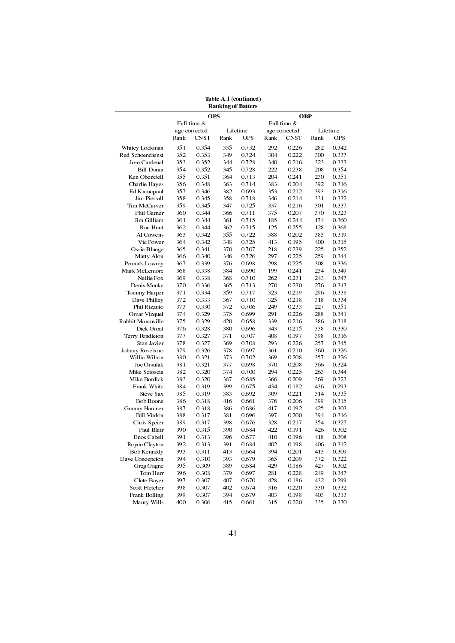|                   |      |               | <b>Ranking of Batters</b> |          |      |               |      |            |
|-------------------|------|---------------|---------------------------|----------|------|---------------|------|------------|
|                   |      | <b>OPS</b>    |                           |          |      | OBP           |      |            |
|                   |      | Full time &   |                           |          |      | Full time &   |      |            |
|                   |      | age corrected |                           | Lifetime |      | age corrected |      | Lifetime   |
|                   | Rank | CNST          | Rank                      | OPS      | Rank | <b>CNST</b>   | Rank | <b>OPS</b> |
| Whitey Lockman    | 351  | 0.354         | 335                       | 0.732    | 292  | 0.226         | 282  | 0.342      |
| Red Schoendienst  | 352  | 0.353         | 349                       | 0.724    | 304  | 0.222         | 300  | 0.337      |
| Jose Cardenal     | 353  | 0.352         | 344                       | 0.728    | 340  | 0.216         | 323  | 0.333      |
| <b>Bill Doran</b> | 354  | 0.352         | 345                       | 0.728    | 222  | 0.238         | 208  | 0.354      |
| Ken Oberkfell     | 355  | 0.351         | 364                       | 0.713    | 204  | 0.241         | 230  | 0.351      |
| Charlie Hayes     | 356  | 0.348         | 363                       | 0.714    | 383  | 0.204         | 392  | 0.316      |
| Ed Kranepool      | 357  | 0.346         | 382                       | 0.693    | 353  | 0.212         | 393  | 0.316      |
| Jim Piersall      | 358  | 0.345         | 358                       | 0.718    | 346  | 0.214         | 331  | 0.332      |
| Tim McCarver      | 359  | 0.345         | 347                       | 0.725    | 337  | 0.216         | 301  | 0.337      |
| Phil Garner       | 360  | 0.344         | 366                       | 0.711    | 375  | 0.207         | 370  | 0.323      |
| Jim Gilliam       | 361  | 0.344         | 361                       | 0.715    | 185  | 0.244         | 174  | 0.360      |
| Ron Hunt          | 362  | 0.344         | 362                       | 0.715    | 125  | 0.255         | 128  | 0.368      |
| Al Cowens         | 363  | 0.342         | 355                       | 0.722    | 388  | 0.202         | 383  | 0.319      |
| Vic Power         | 364  | 0.342         | 348                       | 0.725    | 413  | 0.195         | 400  | 0.315      |
| Ossie Bluege      | 365  | 0.341         | 370                       | 0.707    | 218  | 0.239         | 225  | 0.352      |
| Matty Alou        | 366  | 0.340         | 346                       | 0.726    | 297  | 0.225         | 259  | 0.344      |
| Peanuts Lowrey    | 367  | 0.339         | 376                       | 0.698    | 298  | 0.225         | 308  | 0.336      |
| Mark McLemore     | 368  | 0.338         | 384                       | 0.690    | 199  | 0.241         | 234  | 0.349      |
| Nellie Fox        | 369  | 0.338         | 368                       | 0.710    | 262  | 0.231         | 243  | 0.347      |
|                   |      |               | 365                       |          | 270  |               | 276  |            |
| Denis Menke       | 370  | 0.336         |                           | 0.713    |      | 0.230         |      | 0.343      |
| Tommy Harper      | 371  | 0.334         | 359                       | 0.717    | 323  | 0.219         | 296  | 0.338      |
| Dave Philley      | 372  | 0.333         | 367                       | 0.710    | 325  | 0.218         | 318  | 0.334      |
| Phil Rizzuto      | 373  | 0.330         | 372                       | 0.706    | 249  | 0.233         | 227  | 0.351      |
| Omar Vizquel      | 374  | 0.329         | 375                       | 0.699    | 291  | 0.226         | 288  | 0.341      |
| Rabbit Maranville | 375  | 0.329         | 420                       | 0.658    | 339  | 0.216         | 386  | 0.318      |
| Dick Groat        | 376  | 0.328         | 380                       | 0.696    | 343  | 0.215         | 338  | 0.330      |
| Terry Pendleton   | 377  | 0.327         | 371                       | 0.707    | 408  | 0.197         | 398  | 0.316      |
| Stan Javier       | 378  | 0.327         | 369                       | 0.708    | 293  | 0.226         | 257  | 0.345      |
| Johnny Roseboro   | 379  | 0.326         | 378                       | 0.697    | 361  | 0.210         | 360  | 0.326      |
| Willie Wilson     | 380  | 0.321         | 373                       | 0.702    | 369  | 0.208         | 357  | 0.326      |
| Joe Orsulak       | 381  | 0.321         | 377                       | 0.698    | 370  | 0.208         | 366  | 0.324      |
| Mike Scioscia     | 382  | 0.320         | 374                       | 0.700    | 294  | 0.225         | 263  | 0.344      |
| Mike Bordick      | 383  | 0.320         | 387                       | 0.685    | 366  | 0.209         | 369  | 0.323      |
| Frank White       | 384  | 0.319         | 399                       | 0.675    | 434  | 0.182         | 436  | 0.293      |
| Steve Sax         | 385  | 0.319         | 383                       | 0.692    | 309  | 0.221         | 314  | 0.335      |
| Bob Boone         | 386  | 0.318         | 416                       | 0.661    | 376  | 0.206         | 399  | 0.315      |
| Granny Hamner     | 387  | 0.318         | 386                       | 0.686    | 417  | 0.192         | 425  | 0.303      |
| Bill Virdon       | 388  | 0.317         | 381                       | 0.696    | 397  | 0.200         | 394  | 0.316      |
| Chris Speier      | 389  | 0.317         | 398                       | 0.676    | 328  | 0.217         | 354  | 0.327      |
| Paul Blair        | 390  | 0.315         | 390                       | 0.684    | 422  | 0.191         | 426  | 0.302      |
| Enos Cabell       | 391  | 0.313         | 396                       | 0.677    | 410  | 0.196         | 418  | 0.308      |
| Royce Clayton     | 392  | 0.313         | 391                       | 0.684    | 402  | 0.198         | 406  | 0.312      |
| Bob Kennedy       | 393  | 0.311         | 413                       | 0.664    | 394  | 0.201         | 413  | 0.309      |
| Dave Concepcion   | 394  | 0.310         | 393                       | 0.679    | 365  | 0.209         | 372  | 0.322      |
| Greg Gagne        | 395  | 0.309         | 389                       | 0.684    | 429  | 0.186         | 427  | 0.302      |
| Tom Herr          | 396  | 0.308         | 379                       | 0.697    | 281  | 0.228         | 249  | 0.347      |
| Clete Boyer       | 397  | 0.307         | 407                       | 0.670    | 428  | 0.186         | 432  | 0.299      |
| Scott Fletcher    | 398  | 0.307         | 402                       | 0.674    | 316  | 0.220         | 330  | 0.332      |
| Frank Bolling     | 399  | 0.307         | 394                       | 0.679    | 403  | 0.198         | 403  | 0.313      |
| Maury Wills       | 400  | 0.306         | 415                       | 0.661    | 315  | 0.220         | 335  | 0.330      |
|                   |      |               |                           |          |      |               |      |            |

Table A.1 (continued)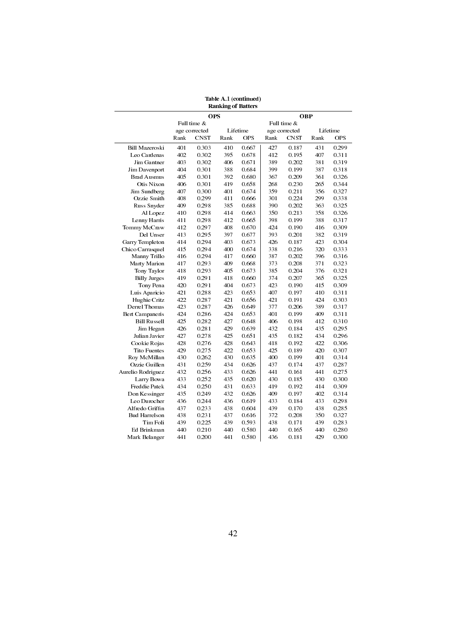| <b>Ranking of Batters</b> |               |             |      |            |             |               |      |            |  |  |
|---------------------------|---------------|-------------|------|------------|-------------|---------------|------|------------|--|--|
|                           | <b>OPS</b>    |             |      |            |             | <b>OBP</b>    |      |            |  |  |
|                           |               | Full time & |      |            | Full time & |               |      |            |  |  |
|                           | age corrected |             |      | Lifetime   |             | age corrected |      | Lifetime   |  |  |
|                           | Rank          | <b>CNST</b> | Rank | <b>OPS</b> | Rank        | <b>CNST</b>   | Rank | <b>OPS</b> |  |  |
| <b>Bill Mazeroski</b>     | 401           | 0.303       | 410  | 0.667      | 427         | 0.187         | 431  | 0.299      |  |  |
| Leo Cardenas              | 402           | 0.302       | 395  | 0.678      | 412         | 0.195         | 407  | 0.311      |  |  |
| Jim Gantner               | 403           | 0.302       | 406  | 0.671      | 389         | 0.202         | 381  | 0.319      |  |  |
| Jim Davenport             | 404           | 0.301       | 388  | 0.684      | 399         | 0.199         | 387  | 0.318      |  |  |
| <b>Brad Ausmus</b>        | 405           | 0.301       | 392  | 0.680      | 367         | 0.209         | 361  | 0.326      |  |  |
| Otis Nixon                | 406           | 0.301       | 419  | 0.658      | 268         | 0.230         | 265  | 0.344      |  |  |
| Jim Sundberg              | 407           | 0.300       | 401  | 0.674      | 359         | 0.211         | 356  | 0.327      |  |  |
| Ozzie Smith               | 408           | 0.299       | 411  | 0.666      | 301         | 0.224         | 299  | 0.338      |  |  |
| Russ Snyder               | 409           | 0.298       | 385  | 0.688      | 390         | 0.202         | 363  | 0.325      |  |  |
| Al Lopez                  | 410           | 0.298       | 414  | 0.663      | 350         | 0.213         | 358  | 0.326      |  |  |
| Lenny Harris              | 411           | 0.298       | 412  | 0.665      | 398         | 0.199         | 388  | 0.317      |  |  |
|                           | 412           | 0.297       | 408  | 0.670      | 424         |               | 416  | 0.309      |  |  |
| Tommy McCraw              |               |             |      |            |             | 0.190         |      |            |  |  |
| Del Unser                 | 413           | 0.295       | 397  | 0.677      | 393         | 0.201         | 382  | 0.319      |  |  |
| Garry Templeton           | 414           | 0.294       | 403  | 0.673      | 426         | 0.187         | 423  | 0.304      |  |  |
| Chico Carrasquel          | 415           | 0.294       | 400  | 0.674      | 338         | 0.216         | 320  | 0.333      |  |  |
| Manny Trillo              | 416           | 0.294       | 417  | 0.660      | 387         | 0.202         | 396  | 0.316      |  |  |
| Marty Marion              | 417           | 0.293       | 409  | 0.668      | 373         | 0.208         | 371  | 0.323      |  |  |
| Tony Taylor               | 418           | 0.293       | 405  | 0.673      | 385         | 0.204         | 376  | 0.321      |  |  |
| <b>Billy Jurges</b>       | 419           | 0.291       | 418  | 0.660      | 374         | 0.207         | 365  | 0.325      |  |  |
| Tony Pena                 | 420           | 0.291       | 404  | 0.673      | 423         | 0.190         | 415  | 0.309      |  |  |
| Luis Aparicio             | 421           | 0.288       | 423  | 0.653      | 407         | 0.197         | 410  | 0.311      |  |  |
| Hughie Critz              | 422           | 0.287       | 421  | 0.656      | 421         | 0.191         | 424  | 0.303      |  |  |
| Derrel Thomas             | 423           | 0.287       | 426  | 0.649      | 377         | 0.206         | 389  | 0.317      |  |  |
| Bert Campaneris           | 424           | 0.286       | 424  | 0.653      | 401         | 0.199         | 409  | 0.311      |  |  |
| <b>Bill Russell</b>       | 425           | 0.282       | 427  | 0.648      | 406         | 0.198         | 412  | 0.310      |  |  |
| Jim Hegan                 | 426           | 0.281       | 429  | 0.639      | 432         | 0.184         | 435  | 0.295      |  |  |
| Julian Javier             | 427           | 0.278       | 425  | 0.651      | 435         | 0.182         | 434  | 0.296      |  |  |
| Cookie Rojas              | 428           | 0.276       | 428  | 0.643      | 418         | 0.192         | 422  | 0.306      |  |  |
| <b>Tito Fuentes</b>       | 429           | 0.275       | 422  | 0.653      | 425         | 0.189         | 420  | 0.307      |  |  |
| Roy McMillan              | 430           | 0.262       | 430  | 0.635      | 400         | 0.199         | 401  | 0.314      |  |  |
| Ozzie Guillen             | 431           | 0.259       | 434  | 0.626      | 437         | 0.174         | 437  | 0.287      |  |  |
| Aurelio Rodriguez         | 432           | 0.256       | 433  | 0.626      | 441         | 0.161         | 441  | 0.275      |  |  |
| Larry Bowa                | 433           | 0.252       | 435  | 0.620      | 430         | 0.185         | 430  | 0.300      |  |  |
| Freddie Patek             | 434           | 0.250       | 431  | 0.633      | 419         | 0.192         | 414  | 0.309      |  |  |
| Don Kessinger             | 435           | 0.249       | 432  | 0.626      | 409         | 0.197         | 402  | 0.314      |  |  |
| Leo Durocher              | 436           | 0.244       | 436  | 0.619      | 433         | 0.184         | 433  | 0.298      |  |  |
| Alfredo Griffin           | 437           | 0.233       | 438  | 0.604      | 439         | 0.170         | 438  | 0.285      |  |  |
| <b>Bud Harrelson</b>      | 438           | 0.231       | 437  | 0.616      | 372         | 0.208         | 350  | 0.327      |  |  |
| Tim Foli                  | 439           | 0.225       | 439  | 0.593      | 438         | 0.171         | 439  | 0.283      |  |  |
| Ed Brinkman               | 440           | 0.210       | 440  | 0.580      | 440         | 0.165         | 440  | 0.280      |  |  |
| Mark Belanger             | 441           | 0.200       | 441  | 0.580      | 436         | 0.181         | 429  | 0.300      |  |  |
|                           |               |             |      |            |             |               |      |            |  |  |

Table A.1 (continued)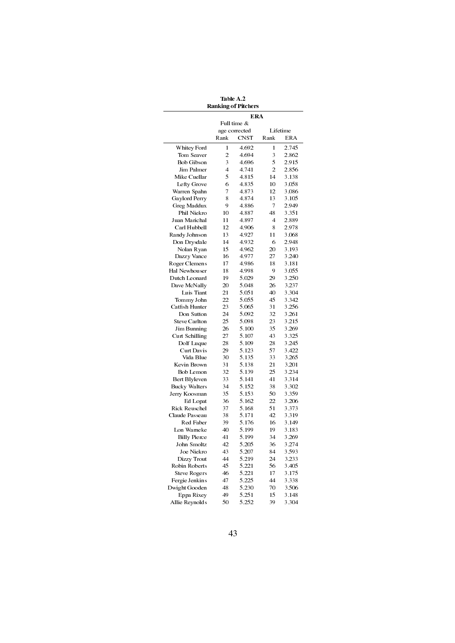Table A.2 Ranking of Pitchers

|                      | ERA            |             |                |       |  |
|----------------------|----------------|-------------|----------------|-------|--|
|                      | Full time &    |             |                |       |  |
|                      | age corrected  |             | Lifetime       |       |  |
|                      | Rank           | <b>CNST</b> | Rank           | ERA   |  |
| Whitey Ford          | 1              | 4.692       | 1              | 2.745 |  |
| Tom Seaver           | $\overline{2}$ | 4.694       | 3              | 2.862 |  |
| <b>Bob Gibson</b>    | 3              | 4.696       | 5              | 2.915 |  |
| Jim Palmer           | 4              | 4.741       | $\overline{2}$ | 2.856 |  |
| Mike Cuellar         | 5              | 4.815       | 14             | 3.138 |  |
| Lefty Grove          | 6              | 4.835       | 10             | 3.058 |  |
| Warren Spahn         | 7              | 4.873       | 12             | 3.086 |  |
| Gaylord Perry        | 8              | 4.874       | 13             | 3.105 |  |
| Greg Maddux          | 9              | 4.886       | 7              | 2.949 |  |
| Phil Niekro          | 10             | 4.887       | 48             | 3.351 |  |
| Juan Marichal        | 11             | 4.897       | 4              | 2.889 |  |
| Carl Hubbell         | 12             | 4.906       | 8              | 2.978 |  |
| Randy Johnson        | 13             | 4.927       | 11             | 3.068 |  |
| Don Drysdale         | 14             | 4.932       | 6              | 2.948 |  |
| Nolan Ryan           | 15             | 4.962       | 20             | 3.193 |  |
| Dazzy Vance          | 16             | 4.977       | 27             | 3.240 |  |
| Roger Clemens        | 17             | 4.986       | 18             | 3.181 |  |
| Hal Newhouser        | 18             | 4.998       | 9              | 3.055 |  |
| Dutch Leonard        | 19             | 5.029       | 29             | 3.250 |  |
| Dave McNally         | 20             | 5.048       | 26             | 3.237 |  |
| Luis Tiant           | 21             | 5.051       | 40             | 3.304 |  |
| Tommy John           | 22             | 5.055       | 45             | 3.342 |  |
| Catfish Hunter       | 23             | 5.065       | 31             | 3.256 |  |
| Don Sutton           | 24             | 5.092       | 32             | 3.261 |  |
| <b>Steve Carlton</b> | 25             | 5.098       | 23             | 3.215 |  |
| Jim Bunning          | 26             | 5.100       | 35             | 3.269 |  |
| Curt Schilling       | 27             | 5.107       | 43             | 3.325 |  |
| Dolf Luque           | 28             | 5.109       | 28             | 3.245 |  |
| <b>Curt Davis</b>    | 29             | 5.123       | 57             | 3.422 |  |
| Vida Blue            | 30             | 5.135       | 33             | 3.265 |  |
| Kevin Brown          | 31             | 5.138       | 21             | 3.201 |  |
| <b>Bob Lemon</b>     | 32             | 5.139       | 25             | 3.234 |  |
| Bert Blyleven        | 33             | 5.141       | 41             | 3.314 |  |
| <b>Bucky Walters</b> | 34             | 5.152       | 38             | 3.302 |  |
| Jerry Koosman        | 35             | 5.153       | 50             | 3.359 |  |
| Ed Lopat             | 36             | 5.162       | 22             | 3.206 |  |
| Rick Reuschel        | 37             | 5.168       | 51             | 3.373 |  |
| Claude Passeau       | 38             | 5.171       | 42             | 3.319 |  |
| Red Faber            | 39             | 5.176       | 16             | 3.149 |  |
| Lon Warneke          | 40             | 5.199       | 19             | 3.183 |  |
| <b>Billy Pierce</b>  | 41             | 5.199       | 34             | 3.269 |  |
| John Smoltz          | 42             | 5.205       | 36             | 3.274 |  |
| Joe Niekro           | 43             | 5.207       | 84             | 3.593 |  |
| Dizzy Trout          | 44             | 5.219       | 24             | 3.233 |  |
| Robin Roberts        | 45             | 5.221       | 56             | 3.405 |  |
| <b>Steve Rogers</b>  | 46             | 5.221       | 17             | 3.175 |  |
| Fergie Jenkins       | 47             | 5.225       | 44             | 3.338 |  |
| Dwight Gooden        | 48             | 5.230       | 70             | 3.506 |  |
| Eppa Rixey           | 49             | 5.251       | 15             | 3.148 |  |
| Allie Reynolds       | 50             | 5.252       | 39             | 3.304 |  |
|                      |                |             |                |       |  |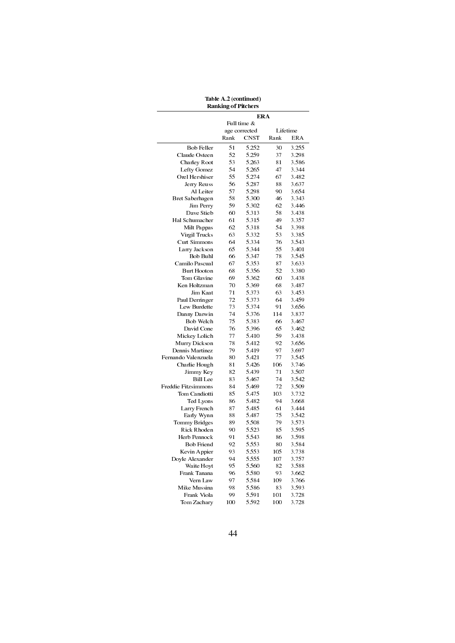| Table A.2 (continued)      |
|----------------------------|
| <b>Ranking of Pitchers</b> |
|                            |

|                     | <b>ERA</b>    |             |      |            |  |
|---------------------|---------------|-------------|------|------------|--|
|                     | Full time &   |             |      |            |  |
|                     | age corrected |             |      | Lifetime   |  |
|                     | Rank          | <b>CNST</b> | Rank | <b>ERA</b> |  |
| <b>Bob Feller</b>   | 51            | 5.252       | 30   | 3.255      |  |
| Claude Osteen       | 52            | 5.259       | 37   | 3.298      |  |
| Charley Root        | 53            | 5.263       | 81   | 3.586      |  |
| Lefty Gomez         | 54            | 5.265       | 47   | 3.344      |  |
| Orel Hershiser      | 55            | 5.274       | 67   | 3.482      |  |
| Jerry Reuss         | 56            | 5.287       | 88   | 3.637      |  |
| Al Leiter           | 57            | 5.298       | 90   | 3.654      |  |
| Bret Saberhagen     | 58            | 5.300       | 46   | 3.343      |  |
| Jim Perry           | 59            | 5.302       | 62   | 3.446      |  |
| Dave Stieb          | 60            | 5.313       | 58   | 3.438      |  |
| Hal Schumacher      | 61            | 5.315       | 49   | 3.357      |  |
| Milt Pappas         | 62            | 5.318       | 54   | 3.398      |  |
| Virgil Trucks       | 63            | 5.332       | 53   | 3.385      |  |
| Curt Simmons        | 64            | 5.334       | 76   | 3.543      |  |
| Larry Jackson       | 65            | 5.344       | 55   | 3.401      |  |
| Bob Buhl            | 66            | 5.347       | 78   | 3.545      |  |
| Camilo Pascual      | 67            | 5353        | 87   | 3.633      |  |
| Burt Hooton         | 68            | 5.356       | 52   | 3.380      |  |
| Tom Glavine         | 69            | 5.362       | 60   | 3.438      |  |
| Ken Holtzman        | 70            | 5.369       | 68   | 3.487      |  |
| Jim Kaat            | 71            | 5.373       | 63   | 3.453      |  |
| Paul Derringer      | 72            | 5.373       | 64   | 3.459      |  |
| Lew Burdette        | 73            | 5.374       | 91   | 3.656      |  |
| Danny Darwin        | 74            | 5.376       | 114  | 3.837      |  |
| Bob Welch           | 75            | 5.383       | 66   | 3.467      |  |
| David Cone          | 76            | 5.396       | 65   | 3.462      |  |
| Mickey Lolich       | 77            | 5.410       | 59   | 3.438      |  |
| Murry Dickson       | 78            | 5.412       | 92   | 3.656      |  |
| Dennis Martinez     | 79            | 5.419       | 97   | 3.697      |  |
| Fernando Valenzuela | 80            | 5.421       | 77   | 3.545      |  |
| Charlie Hough       | 81            | 5.426       | 106  | 3.746      |  |
| Jimmy Key           | 82            | 5.439       | 71   | 3.507      |  |
| <b>Bill</b> Lee     | 83            | 5.467       | 74   | 3.542      |  |
| Freddie Fitzsimmons | 84            | 5.469       | 72   | 3.509      |  |
| Tom Candiotti       | 85            | 5.475       | 103  | 3.732      |  |
| Ted Lyons           | 86            | 5.482       | 94   | 3.668      |  |
| Larry French        | 87            | 5.485       | 61   | 3.444      |  |
| Early Wynn          | 88            | 5.487       | 75   | 3.542      |  |
| Tommy Bridges       | 89            | 5.508       | 79   | 3.573      |  |
| Rick Rhoden         | 90            | 5.523       | 85   | 3.595      |  |
| Herb Pennock        | 91            | 5.543       | 86   | 3.598      |  |
| Bob Friend          | 92            | 5.553       | 80   | 3.584      |  |
| Kevin Appier        | 93            | 5.553       | 105  | 3.738      |  |
| Doyle Alexander     | 94            | 5.555       | 107  | 3.757      |  |
| Waite Hoyt          | 95            | 5.560       | 82   | 3.588      |  |
| Frank Tanana        | 96            | 5.580       | 93   | 3.662      |  |
| Vern Law            | 97            | 5.584       | 109  | 3.766      |  |
| Mike Mussina        | 98            | 5.586       | 83   | 3.593      |  |
| Frank Viola         | 99            | 5.591       | 101  | 3.728      |  |
| Tom Zachary         | 100           | 5.592       | 100  | 3.728      |  |
|                     |               |             |      |            |  |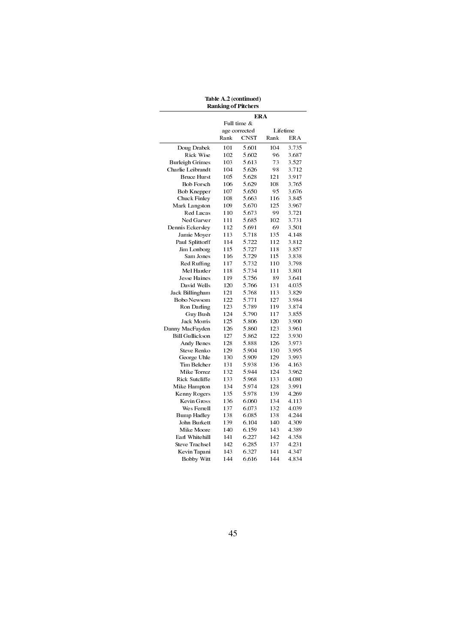| Table A.2 (continued)      |
|----------------------------|
| <b>Ranking of Pitchers</b> |

|                        | ERA           |             |      |            |  |
|------------------------|---------------|-------------|------|------------|--|
|                        | Full time &   |             |      |            |  |
|                        | age corrected |             |      | Lifetime   |  |
|                        | Rank          | <b>CNST</b> | Rank | <b>ERA</b> |  |
| Doug Drabek            | 101           | 5.601       | 104  | 3.735      |  |
| Rick Wise              | 102           | 5.602       | 96   | 3.687      |  |
| Burleigh Grimes        | 103           | 5.613       | 73   | 3.527      |  |
| Charlie Leibrandt      | 104           | 5.626       | 98   | 3.712      |  |
| <b>Bruce Hurst</b>     | 105           | 5.628       | 121  | 3.917      |  |
| <b>Bob Forsch</b>      | 106           | 5.629       | 108  | 3.765      |  |
| Bob Knepper            | 107           | 5.650       | 95   | 3.676      |  |
| Chuck Finley           | 108           | 5.663       | 116  | 3.845      |  |
| Mark Langston          | 109           | 5.670       | 125  | 3.967      |  |
| Red Lucas              | 110           | 5.673       | 99   | 3.721      |  |
| Ned Garver             | 111           | 5.685       | 102  | 3.731      |  |
| Dennis Eckersley       | 112           | 5.691       | 69   | 3.501      |  |
| Jamie Moyer            | 113           | 5.718       | 135  | 4.148      |  |
| Paul Splittorff        | 114           | 5.722       | 112  | 3.812      |  |
| Jim Lonborg            | 115           | 5.727       | 118  | 3.857      |  |
| Sam Jones              | 116           | 5.729       | 115  | 3.838      |  |
| Red Ruffing            | 117           | 5.732       | 110  | 3.798      |  |
| Mel Harder             | 118           | 5.734       | 111  | 3.801      |  |
| <b>Jesse Haines</b>    | 119           | 5.756       | 89   | 3.641      |  |
| David Wells            | 120           | 5.766       | 131  | 4.035      |  |
| Jack Billingham        | 121           | 5.768       | 113  | 3.829      |  |
| <b>Bobo Newsom</b>     | 122           | 5.771       | 127  | 3.984      |  |
| Ron Darling            | 123           | 5.789       | 119  | 3.874      |  |
| Guy Bush               | 124           | 5.790       | 117  | 3.855      |  |
| Jack Morris            | 125           | 5.806       | 120  | 3.900      |  |
| Danny MacFayden        | 126           | 5.860       | 123  | 3.961      |  |
| <b>Bill Gullickson</b> | 127           | 5.862       | 122  | 3.930      |  |
| Andy Benes             | 128           | 5.888       | 126  | 3.973      |  |
| Steve Renko            | 129           | 5.904       | 130  | 3.995      |  |
| George Uhle            | 130           | 5.909       | 129  | 3.993      |  |
| Tim Belcher            | 131           | 5.938       | 136  | 4.163      |  |
| Mike Torrez            | 132           | 5.944       | 124  | 3.962      |  |
| Rick Sutcliffe         | 133           | 5.968       | 133  | 4.080      |  |
| Mike Hampton           | 134           | 5.974       | 128  | 3.991      |  |
| Kenny Rogers           | 135           | 5.978       | 139  | 4.269      |  |
| Kevin Gross            | 136           | 6.060       | 134  | 4.113      |  |
| Wes Ferrell            | 137           | 6.073       | 132  | 4.039      |  |
| <b>Bump Hadley</b>     | 138           | 6.085       | 138  | 4.244      |  |
| John Burkett           | 139           | 6.104       | 140  | 4.309      |  |
| Mike Moore             | 140           | 6.159       | 143  | 4.389      |  |
| Earl Whitehill         | 141           | 6.227       | 142  | 4.358      |  |
| <b>Steve Trachsel</b>  | 142           | 6.285       | 137  | 4.231      |  |
| Kevin Tapani           | 143           | 6.327       | 141  | 4.347      |  |
| <b>Bobby Witt</b>      | 144           | 6.616       | 144  | 4.834      |  |
|                        |               |             |      |            |  |